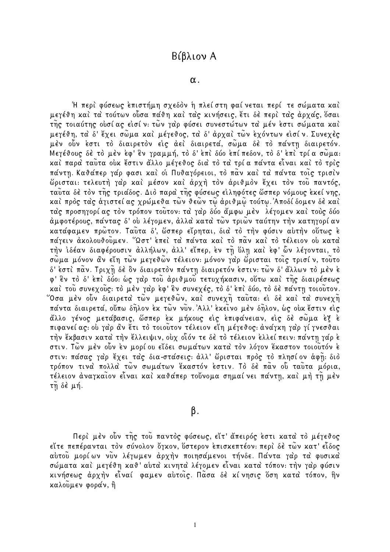## Βίβλιον Α

#### $\alpha$ .

Ή περὶ φύσεως ἐπιστήμη σχεδὸν ἡ πλεί στη φαί νεται περί τε σώματα καὶ μεγέθη καὶ τα τούτων οὗσα πάθη καὶ τας κινήσεις, ἔτι δὲ περὶ τας ἀρχας, ὅσαι της τοιαύτης ούσίας είσίν: των γαρ φύσει συνεστώτων τα μέν εστι σώματα και μεγέθη, τα δ' έχει σώμα και μέγεθος, τα δ' άρχαι τών εχόντων εισίν. Συνεχες μέν ούν έστι τὸ διαιρετὸν εἰς ἀεὶ διαιρετά, σωμα δὲ τὸ πάντη διαιρετόν. Μεγέθους δε το μεν έφ' έν γραμμή, το δ' επι δύο επί πεδον, το δ' επι τρία σώμα: και παρα ταυτα ούκ έστιν άλλο μέγεθος δια το τα τρία πάντα είναι και το τρις πάντη. Καθάπερ γάρ φασι και οί Πυθαγόρειοι, το παν και τα πάντα τοις τρισιν ώρισται: τελευτή γαρ και μέσον και άρχη τον άριθμον έχει τον του παντός, ταύτα δέ τον της τριάδος. Διο παρα της φύσεως ειληφότες ώσπερ νόμους εκεί νης, και προς τας άγιστεί ας χρώμεθα τῶν θεῶν τῷ ἀριθμῷ τούτω. Ἀποδί δομεν δὲ και τας προσηγορίας τον τρόπον τούτον: τα γαρ δύο άμφω μέν λέγομεν και τους δύο άμφοτέρους, πάντας δ' ού λέγομεν, άλλα κατα των τριων ταύτην την κατηγορίαν κατάφαμεν πρώτον. Ταύτα δ', ώσπερ είρηται, δια το την φύσιν αυτην ούτως ε πάγειν άκολουθούμεν. "Ωστ' έπει τα πάντα και το παν και το τέλειον ου κατα την ιδέαν διαφέρουσιν άλλήλων, άλλ' είπερ, εν τη ύλη και εφ' ών λέγονται, το σῶμα μόνον ἀν εἴη τῶν μεγεθῶν τέλειον: μόνον γαρ ὥρισται τοῖς τρισίν, τοῦτο δ' έστι παν. Τριχη δε δν διαιρετον παντη διαιρετόν εστιν: των δ' άλλων το μεν ε φ' έν το δ' επι δύο: ώς γαρ του αριθμού τετυχήκασιν, ούτω και της διαιρέσεως και του συνεχούς: το μεν γαρ έφ' έν συνεχές, το δ' επι δύο, το δε πάντη τοιούτον. **ΎΟσα μὲν οὗν διαιρετα τῶν μεγεθῶν, καὶ συνεχῆ ταῦτα: εἰ δὲ καὶ τα συνεχῆ** πάντα διαιρετά, ούπω δηλον 'εκ των νύν. 'Αλλ' εκείνο μεν δηλον, ως ούκ έστιν είς άλλο γένος μετάβασις, ὥσπερ 'εκ μήκους είς 'επιφάνειαν, είς δὲ σῶμα 'εξ 'ε πιφανεί ας: ού γαρ άν έτι το τοιούτον τέλειον είη μέγεθος: άναγκη γαρ γί γνεσθαι τὴν ἔκβασιν κατα τὴν ἔλλειψιν, οὐχ οἶόν τε δὲ τὸ τέλειον ἐλλεί πειν: πάντῃ γάρ ἐ στιν. Τών μέν ούν έν μορί ου είδει σωμάτων κατα τον λόγον έκαστον τοιούτόν ε στιν: πάσας γαρ έχει τας δια-στάσεις: άλλ' ὥρισται προς το πλησίον άφη: διο τρόπον τινα πολλα των σωμάτων έκαστόν έστιν. Το δε παν ού ταυτα μόρια, τέλειον άναγκαΐον είναι και καθάπερ τούνομα σημαίνει πάντη, και μη τη μεν τη δέ μή.

## β.

Περὶ μεν οὖν τῆς τοῦ παντὸς φύσεως, εἴτ' ἄπειρός εστι κατα τὸ μέγεθος είτε πεπέρανται τον σύνολον όγκον, ύστερον επισκεπτέον: περι δε των κατ' είδος αύτου μορίων νύν λέγωμεν άρχην ποιησάμενοι τήνδε. Πάντα γαρ τα φυσικα σώματα καὶ μεγέθη καθ' αὑτα κινητα λέγομεν εἶναι κατα τόπον: τὴν γαρ φύσιν κινήσεως άρχην εἶναί φαμεν αὐτοις. Πασα δε κίνησις δση κατα τόπον, ην καλούμεν φοράν, ή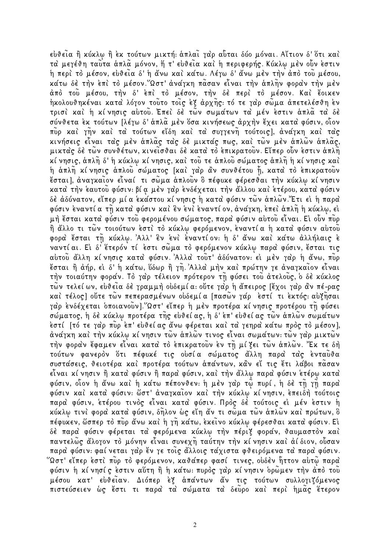εύθεια ή κύκλω ή έκ τούτων μικτή: άπλαι γαρ αύται δύο μόναι. Αίτιον δ' ότι και τα μεγέθη ταῦτα ἁπλᾶ μόνον, ἥ τ' εὐθεῖα καὶ ἡ περιφερής. Κύκλω μὲν οὖν ἐστιν ή περὶ τὸ μέσον, εὐθεἶα δ' ἡ ἄνω καὶ κάτω. Λέγω δ' ἄνω μὲν τὴν ἀπὸ τοῦ μέσου, κάτω δε την επι το μέσον. Ώστ' άνάγκη πασαν είναι την άπλην φοραν την μεν άπό του μέσου, την δ' επι το μέσον, την δε περι το μέσον. Και έοικεν ήκολουθηκέναι κατα λόγον τοῦτο τοῖς ἐξ ἀρχῆς: τό τε γαρ σῶμα ἀπετελέσθη ἐν τρισὶ καὶ ἡ κίνησις αὐτοῦ. Ἐπεὶ δὲ τῶν σωμάτων τὰ μέν ἐστιν ἁπλα τὰ δὲ σύνθετα έκ τούτων [λέγω δ' άπλᾶ μέν δσα κινήσεως άρχην έχει κατα φύσιν, οἷον πυρ και γην και τα τούτων είδη και τα συγγενή τούτοις], ανάγκη και τας κινήσεις είναι τας μέν άπλας τας δέ μικτάς πως, και των μέν άπλων άπλας, μικτας δε τῶν συνθέτων, κινεἶσθαι δε κατα τὸ ἐπικρατοῦν. Εἴπερ οὖν ἐστιν άπλῆ κί νησις, άπλῆ δ' ἡ κύκλω κί νησις, καὶ τοῦ τε άπλοῦ σώματος άπλῆ ἡ κί νησις καὶ ή άπλη κίνησις άπλοῦ σώματος [καὶ γαρ ἀν συνθέτου ἦ, κατα τὸ ἐπικρατοῦν έσται], άναγκαῖον εἶναί τι σῶμα ἁπλοῦν ὃ πέφυκε φέρεσθαι τὴν κύκλῳ κίνησιν κατα την εαυτού φύσιν: βία μεν γαρ ενδέχεται την άλλου και ετέρου, κατα φύσιν δε άδύνατον, είπερ μία εκάστου κίνησις ή κατα φύσιν των απλων. Έτι ει ή παρα φύσιν 'εναντί α τῆ κατα' φύσιν καὶ ἓν ἑνὶ 'εναντί ον, ἀνάγκη, ἐπεὶ ἁπλῆ ἡ κύκλῳ, εἰ μή έσται κατα φύσιν του φερομένου σώματος, παρα φύσιν αυτου είναι. Ει ούν πυρ ή άλλο τι τῶν τοιούτων ἐστὶ τὸ κύκλῳ φερόμενον, ἐναντία ἡ κατα φύσιν αὐτοῦ φορα έσται τη κύκλω. Άλλ' εν ενι εναντίον: η δ' άνω και κάτω αλλήλαις ε ναντίαι. Εί δ' έτερόν τί έστι σώμα τὸ φερόμενον κύκλω παρα φύσιν, έσται τις αύτου άλλη κίνησις κατα φύσιν. Αλλα τουτ' αδύνατον: ει μεν γαρ ή άνω, πυρ ἔσται ἢ ἀήρ, εἰ δ' ἡ κατω, ὕδωρ ἢ γῆ. Ἀλλα μὴν καὶ πρώτην γε ἀναγκαῖον εἶναι την τοιαύτην φοράν. Τὸ γαρ τέλειον πρότερον τῆ φύσει τοῦ ἀτελοῦς, ὁ δὲ κύκλος τῶν τελεί ων, εὐθεῖα δὲ γραμμὴ οὐδεμία: οὔτε γαρ ἡ ἄπειρος [ἔχοι γαρ ἀν πέ-ρας καὶ τέλος] οὔτε τῶν πεπερασμένων οὐδεμία [πασῶν γάρ 'εστί τι 'εκτός: αὐξησαι γαρ ενδέχεται δποιανούν]. Ώστ' είπερ ή μεν προτέρα κίνησις προτέρου τη φύσει σώματος, η δε κύκλω προτέρα της εύθεί ας, η δ' επ' εύθεί ας των άπλων σωμάτων έστί [τό τε γαρ πυρ ἐπ' εὐθείας ἄνω φέρεται και τα γεηρα κατω προς το μέσον], άνάγκη καὶ τὴν κύκλω κί νησιν τῶν ἁπλῶν τινος εἶναι σωμάτων: τῶν γαρ μικτῶν τὴν φοραν ἔφαμεν εἶναι κατα τὸ ἐπικρατοῦν ἐν τῇ μί ξει τῶν ἁπλῶν. "Εκ τε δὴ τούτων φανερὸν ὅτι πέφυκέ τις οὐσία σώματος ἄλλη παρα τας ενταυθα συστάσεις, θειοτέρα και προτέρα τούτων απάντων, κάν εί τις έτι λάβοι πασαν εἶναι κίνησιν ἢ κατα φύσιν ἢ παρα φύσιν, καὶ τὴν ἄλλῳ παρα φύσιν ἑτέρῳ κατα φύσιν, οἷον ἡ ἄνω καὶ ἡ κάτω πέπονθεν: ἡ μὲν γαρ τῷ πυρί, ἡ δὲ τῇ γῇ παρὰ φύσιν και κατα φύσιν: ὥστ' ἀναγκαϊον και την κύκλω κίνησιν, επειδη τούτοις παρα φύσιν, ετέρου τινος είναι κατα φύσιν. Προς δε τούτοις ει μέν εστιν ή κύκλω τινὶ φορα κατα φύσιν, δῆλον ὡς εἴη ἄν τι σῶμα τῶν ἁπλῶν καὶ πρώτων, ὃ πέφυκεν, ὥσπερ τὸ πὗρ ἄνω καὶ ἡ γῆ κάτω, ἐκεἶνο κύκλω φέρεσθαι κατα φύσιν. Εὶ δὲ παρα φύσιν φέρεται τα φερόμενα κύκλω την πέριζ φοράν, θαυμαστον και παντελώς άλογον το μόνην είναι συνεχη ταύτην την κίνησιν και αίδιον, ούσαν παρα φύσιν: φαί νεται γαρ έν γε τοις άλλοις τάχιστα φθειρόμενα τα παρα φύσιν. <sup>ν</sup>Ωστ' εἴπερ ἐστὶ πὗρ τὸ φερόμενον, καθάπερ φασί τινες, οὐδὲν ἧττον αὐτῷ παρὰ φύσιν ἡ κίνησίς ἐστιν αὕτη ἢ ἡ κατω: πυρὸς γαρ κίνησιν ὁρῶμεν τὴν ἀπὸ τοῦ μέσου κατ' εύθειαν. Διόπερ εξ απάντων άν τις τούτων συλλογιζόμενος πιστεύσειεν ώς έστι τι παρα τα σώματα τα δεύρο και περι ήμας έτερον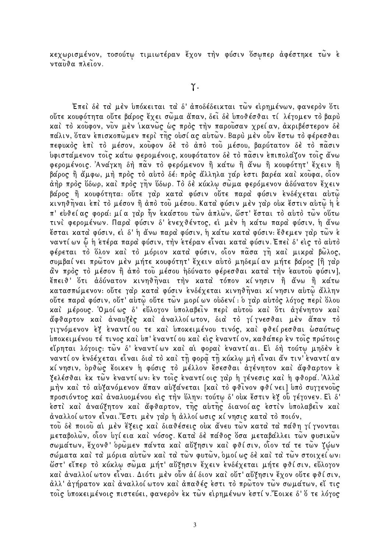κεχωρισμένον, τοσούτω τιμιωτέραν έχον την φύσιν δσωπερ αφέστηκε τῶν ε νταὖθα πλεἶον.

Έπεὶ δὲ τα μὲν ὑπόχειται τα δ' ἀποδέδειχται τῶν εἰρημένων, φανερὸν ὅτι ούτε κουφότητα ούτε βάρος έχει σώμα άπαν, δεί δε υποθέσθαι τί λέγομεν το βαρύ καί το κούφον, νύν μέν ίκανώς ώς πρός την παρούσαν χρείαν, άκριβέστερον δέ πάλιν, όταν 'επισκοπῶμεν περὶ τῆς οὐσί ας αὐτῶν. Βαρὺ μὲν οὖν 'έστω τὸ φέρεσθαι πεφυκός έπι το μέσον, κούφον δε το άπο του μέσου, βαρύτατον δε το πασιν ύφιστάμενον τοις κάτω φερομένοις, κουφότατον δε το πασιν επιπολαζον τοις άνω φερομένοις. Ανάγκη δη παν το φερόμενον ή κάτω ή άνω ή κουφότητ' έχειν ή βάρος ἢ άμφω, μή πρὸς τὸ αὐτὸ δέ: πρὸς ἄλληλα γάρ ἐστι βαρέα καὶ κοῦφα, οἶον άηρ πρός ύδωρ, και πρός γην ύδωρ. Το δε κύκλω σώμα φερόμενον άδύνατον έχειν βάρος ἢ κουφότητα: οὔτε γαρ κατα φύσιν οὔτε παρα φύσιν ενδέχεται αὐτῶ κινηθηναι επί το μέσον ή άπο του μέσου. Κατα φύσιν μεν γαρ ούκ έστιν αυτω ή ε π' εύθεί ας φορά: μία γαρ ἦν εκάστου των απλων, ὥστ' έσται το αυτο των ούτω τινί φερομένων. Παρα φύσιν δ' ενεχθέντος, εί μεν ή κάτω παρα φύσιν, ή άνω έσται κατα` φύσιν, εἰ δ' ἡ ἄνω παρα` φύσιν, ἡ κάτω κατα` φύσιν: ἔθεμεν γαρ τῶν ἐ ναντί ων ὧ ή ετέρα παρα φύσιν, την ετέραν είναι κατα φύσιν. Έπει δ' είς το αυτο φέρεται το δλον και το μόριον κατα φύσιν, οίον πασα γη και μικρα βώλος, συμβαίνει πρώτον μέν μήτε κουφότητ' έχειν αύτο μηδεμίαν μήτε βάρος [ή γαρ άν πρός τὸ μέσον ἢ ἀπὸ τοῦ μέσου ἠδύνατο φέρεσθαι κατα τὴν ἑαυτοῦ φύσιν], έπειθ' δτι άδύνατον κινηθηναι την κατα τόπον κίνησιν ή άνω ή κάτω κατασπώμενον: ούτε γαρ κατα φύσιν ενδέχεται κινηθηναι κίνησιν αυτώ άλλην ούτε παρα φύσιν, ούτ' αυτώ ούτε τών μορί ων ουδενί: ο γαρ αυτός λόγος περι δλου και μέρους. Όμοίως δ' εύλογον υπολαβείν περι αυτού και ότι άγένητον και άφθαρτον και αναυξές και αναλλοίωτον, δια το γίγνεσθαι μέν άπαν το γιγνόμενον έζ έναντίου τε και υποκειμένου τινός, και φθείρεσθαι ώσαύτως υποκειμένου τέ τινος και υπ'εναντί ου και είς εναντί ον, καθάπερ εν τοις πρώτοις εἴρηται λόγοις: των δ' εναντίων και αί φοραι εναντίαι. Ει δη τούτω μηδεν ε ναντί ον ενδέχεται είναι δια το και τη φορα τη κύκλω μη είναι άν τιν εναντί αν κίνησιν, ορθώς έοικεν ή φύσις το μέλλον έσεσθαι αγένητον και άφθαρτον ε ξελέσθαι έκ τὦν έναντίων: έν τοις έναντίοις γαρ ή γένεσις και ή φθορά. Αλλα μήν καὶ τὸ αὐξανόμενον ἅπαν αὐξάνεται [καὶ τὸ φθἶνον φθίνει] ὑπὸ συγγενοῦς προσιόντος και άναλυομένου είς την ύλην: τούτω δ' ούκ έστιν εξ ού γέγονεν. Ει δ' έστι και άναύζητον και άφθαρτον, της αυτης διανοίας εστιν υπολαβείν και άναλλοί ωτον εἶναι."Έστι μέν γαρ ή άλλοί ωσις κί νησις κατα το ποιόν,

του δέ ποιου αί μέν έζεις και διαθέσεις ούκ άνευ των κατα τα πάθη γίγνονται μεταβολών, οίον υγί εια και νόσος. Κατα δε πάθος όσα μεταβάλλει των φυσικών σωμάτων, ἔχονθ' ὁρῶμεν πάντα καὶ αὔξησιν καὶ φθίσιν, οἷον τά τε τῶν ζώων σώματα και τα μόρια αυτών και τα τών φυτών, δμοί ως δε και τα τών στοιχεί ων: ώστ' εἴπερ τὸ χύχλω σῶμα μήτ' αὕξησιν ἔχειν ἐνδέχεται μήτε φθίσιν, εὕλογον και άναλλοί ωτον είναι. Διότι μεν οὖν αί διον και οὔτ' αὔζησιν έχον οὔτε φθί σιν, άλλ' άγήρατον καὶ άναλλοί ωτον καὶ ἀπαθές ἐστι τὸ πρῶτον τῶν σωμάτων, εἴ τις τοις υποκειμένοις πιστεύει, φανερον εκ των ειρημένων εστίν. Έοικε δ' δ τε λόγος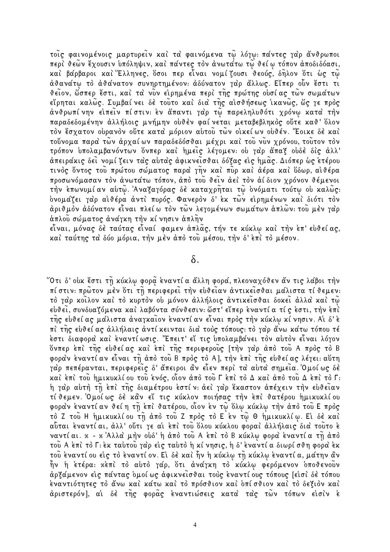τοις φαινομένοις μαρτυρείν και τα φαινόμενα τω λόγω: πάντες γαρ άνθρωποι περὶ θεῶν ἔχουσιν ὑπόληψιν, καὶ πάντες τὸν ἀνωτάτω τῷ θεί ῳ τόπον ἀποδιδόασι, καὶ βάρβαροι καὶ Έλληνες, ὅσοι περ εἶναι νομίζουσι θεούς, δηλον ὅτι ὡς τῷ άθανάτω τὸ ἀθάνατον συνηρτημένον: ἀδύνατον γαρ ἄλλως. Εἴπερ οὖν ἔστι τι θείον, ὥσπερ ἔστι, καὶ τὰ νὗν εἰρημένα περὶ τῆς πρώτης οὐσίας τὧν σωμάτων εἴρηται καλῶς. Συμβαίνει δε τοῦτο καὶ δια τῆς αισθήσεως ἱκανῶς, ὥς γε πρὸς άνθρωπίνην ειπείν πίστιν: ἐν ἄπαντι γαρ τῷ παρεληλυθότι χρόνῳ κατα τὴν παραδεδομένην άλλήλοις μνήμην ούθεν φαίνεται μεταβεβληκός ούτε καθ' δλον τὸν ἔσχατον οὐρανὸν οὔτε κατα μόριον αὐτου των οἰκείων οὐθέν. Ἔοικε δὲ καὶ τοὔνομα παρα τῶν ἀρχαί ων παραδεδόσθαι μέχρι καὶ τοῦ νῦν χρόνου, τοῦτον τὸν τρόπον υπολαμβανόντων δνπερ και ημείς λέγομεν: ου γαρ άπαζ ουδε δις άλλ' άπειράκις δει νομίζειν τας αύτας άφικνεισθαι δόξας είς ημας. Διόπερ ως ετέρου τινός όντος του πρώτου σώματος παρα γην και πυρ και άέρα και ύδωρ, αιθέρα προσωνόμασαν τὸν ἀνωτάτω τόπον, ἀπὸ τοῦ θεἶν ἀεὶ τὸν ἀίδιον χρόνον θέμενοι την επωνυμίαν αύτώ. Αναξαγόρας δε καταχρήται τώ ονόματι τούτω ού καλώς: όνομάζει γαρ αιθέρα άντι πυρός. Φανερον δ' εκ των ειρημένων και διότι τον άριθμὸν ἀδύνατον εἶναι πλείω τὸν τῶν λεγομένων σωμάτων ἁπλῶν: τοῦ μὲν γαρ άπλου σώματος άνάγκη την κίνησιν άπλην

εἶναι, μόνας δε ταύτας εἶναί φαμεν ἁπλᾶς, τήν τε κύκλω καὶ τὴν ἐπ' εὐθείας, και ταύτης τα δύο μόρια, την μεν άπο του μέσου, την δ'επι το μέσον.

δ.

Ότι δ' οὐκ ἔστι τῇ κύκλῳ φορῷ ἐναντί α ἄλλη φορά, πλεοναχόθεν ἄν τις λαβοι τὴν πίστιν: πρώτον μεν ότι τη περιφερεί την εύθείαν αντικείσθαι μαλιστα τίθεμεν: τὸ γαρ κοιλον και τὸ κυρτὸν οὐ μόνον ἀλλήλοις ἀντικεισθαι δοκει ἀλλα και τῷ εύθει, συνδυαζόμενα και λαβόντα σύνθεσιν: ὥστ' εἴπερ ἐναντί α τίς ἐστι, την ἐπι της εύθεί ας μάλιστα άναγκαιον έναντί αν είναι πρός την κύκλω κί νησιν. Αι δ'ε πι της εύθεί ας άλλήλαις άντί κεινται δια τους τόπους: το γαρ άνω κάτω τόπου τέ εστι διαφορα και εναντίωσις. "Επειτ' εἴ τις ὑπολαμβάνει τον αὐτον εἶναι λόγον δνπερ έπι της ευθείας και επι της περιφερούς [την γαρ άπο του Α προς το Β φοραν εναντί αν εἶναι τῇ ἀπὸ τοῦ Β πρὸς τὸ Α], τὴν ἐπὶ τῆς εὐθεί ας λέγει: αὕτη γαρ πεπέρανται, περιφερείς δ' άπειροι άν είεν περι τα αυτα σημεία. Όμοί ως δε και επι του ημικυκλί ου του ενός, οίον άπο του Γ επι το Δ και άπο του Δ επι το Γ: η γαρ αύτη τη επι της διαμέτρου εστίν: άει γαρ έκαστον απέχειν την ευθείαν τίθεμεν. Όμοίως δέ κάν εί τις κύκλον ποιήσας την επι θατέρου ημικυκλίου φοραν εναντίαν θείη τη επι θατέρου, οίον εν τω δλω κύκλω την απο του Ε προς τὸ Ζ τοῦ Η ἡμικυκλί ου τῆ ἀπὸ τοῦ Ζ πρὸς τὸ Ε ἐν τῷ Θ ἡμικυκλί ῳ. Εἰ δὲ καὶ αύται εναντίαι, άλλ' ούτι γε αί επι του δλου κύκλου φοραι άλλήλαις δια τουτο ε ναντίαι. \* - \* Αλλα μην ούδ' η άπο του Α επι το Β κύκλω φορα εναντία τη άπο του Α επι το Γ: εκ ταυτου γαρ εις ταυτο ή κί νησις, ή δ' εναντί α διωρί σθη φορα εκ του εναντί ου είς το εναντί ον. Εί δε και ήν η κύκλω τη κύκλω εναντί α, μάτην άν ἦν ἡ ἑτέρα: %ἐπὶ τὸ αὐτὸ γάρ, ὅτι ἀνάγκη τὸ κύκλῳ φερόμενον ὁποθενοῦν άρζαμενον είς παντας δμοίως αφικνείσθαι τούς εναντίους τόπους [εισι δε τόπου έναντιότητες τὸ ἄνω καὶ κάτω καὶ τὸ πρόσθιον καὶ ὀπίσθιον καὶ τὸ δεξιὸν καὶ άριστερόν], αι δέ της φορας εναντιώσεις κατα τας των τόπων εισιν ε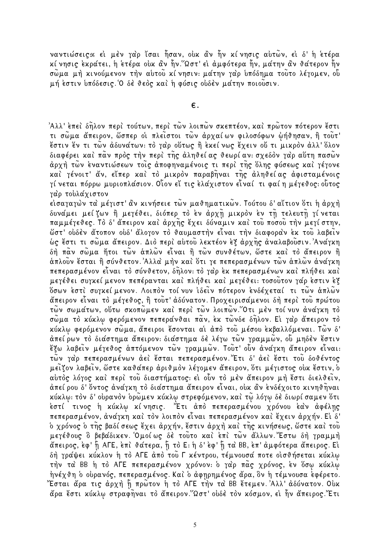ναντιώσεις: εί μέν γαρ Ίσαι ἦσαν, ούκ άν ἦν κίνησις αυτών, εί δ' ἡ ετέρα κί νησις εκράτει, ή ετέρα ούκ ἂν ἦν Ύρστ' εἰ ἀμφότερα ἦν, μάτην ἂν θάτερον ἦν σώμα μή κινούμενον τήν αύτου κίνησιν: μάτην γαρ υπόδημα τουτο λέγομεν, ού μή έστιν υπόδεσις. Ο δε θεός και η φύσις ουδεν μάτην ποιούσιν.

'Αλλ' ἐπεὶ δῆλον περὶ τούτων, περὶ τῶν λοιπῶν σκεπτέον, καὶ πρῶτον πότερον ἔστι τι σῶμα ἄπειρον, ὥσπερ οἱ πλεῖστοι τῶν ἀρχαίων φιλοσόφων ὦήθησαν, ἢ τοῦτ' <u></u>έστιν έν τι τῶν ἀδυνατων: τὸ γαρ οὕτως ἢ ἐκεί νως ἔχειν οὔ τι μικρὸν ἀλλ' ὅλον διαφέρει και παν προς την περι της αληθείας θεωρίαν: σχεδον γαρ αύτη πασών άρχη τῶν ἐναντιώσεων τοις ἀποφηναμένοις τι περὶ τῆς ὅλης φύσεως καὶ γέγονε και γένοιτ' άν, είπερ και το μικρον παραβήναι της άληθείας αφισταμένοις γίνεται πόρρω μυριοπλάσιον. Οΐον εἴ τις ελάχιστον εἶναί τι φαί η μέγεθος: οὗτος γαρ τουλαχιστον

εισαγαγων τα μέγιστ' άν κινήσειε τῶν μαθηματικῶν. Τούτου δ' αἴτιον ὅτι ἡ ἀρχὴ δυναμει μείζων ή μεγέθει, διόπερ το έν αρχη μικρον έν τη τελευτη γίνεται παμμέγεθες. Τὸ δ' ἄπειρον και ἀρχῆς ἔχει δύναμιν και του ποσου την μεγί στην, ώστ' ούδεν άτοπον ούδ' άλογον τὸ θαυμαστήν εἶναι τὴν διαφοραν ἐκ τοῦ λαβεἶν ώς έστι τι σώμα άπειρον. Διό περί αύτου λεκτέον εξ άρχης αναλαβούσιν. Αναγκη δὴ πᾶν σῶμα ἤτοι τῶν ἁπλῶν εἶναι ἢ τῶν συνθέτων, ὥστε καὶ τὸ ἄπειρον ἢ άπλοῦν ἔσται ἢ σύνθετον. Ἀλλα μὴν καὶ ὅτι γε πεπερασμένων τῶν ἁπλῶν ἀναγκη πεπερασμένον εἶναι τὸ σύνθετον, δηλον: τὸ γαρ ἐκ πεπερασμένων καὶ πλήθει καὶ μεγέθει συγκεί μενον πεπέρανται καὶ πλήθει καὶ μεγέθει: τοσούτον γάρ 'εστιν 'εξ δσων εστὶ συγκεί μενον. Λοιπὸν τοί νυν ἰδεἶν πότερον ενδέχεταί τι τῶν ἁπλῶν άπειρον είναι το μέγεθος, ή τουτ' άδύνατον. Προχειρισάμενοι δη περι του πρώτου τῶν σωμάτων, οὕτω σκοπῶμεν καὶ περὶ τῶν λοιπῶν. Ότι μὲν τοί νυν ἀνάγκη τὸ σωμα το κύκλω φερόμενον πεπεράνθαι πάν, έκ τωνδε δηλον. Ει γαρ άπειρον το κύκλω φερόμενον σώμα, άπειροι έσονται αι άπο του μέσου εκβαλλόμεναι. Τών δ' άπείρων τὸ διάστημα ἄπειρον: διάστημα δὲ λέγω τῶν γραμμῶν, οὗ μηδὲν ἔστιν έζω λαβεΐν μέγεθος άπτόμενον τῶν γραμμῶν. Τοῦτ' οὖν ἀναγκη ἄπειρον εἶναι: των γαρ πεπερασμένων άει έσται πεπερασμένον. Έτι δ' άει έστι του δοθέντος μείζον λαβείν, ὥστε καθάπερ ἀριθμὸν λέγομεν ἄπειρον, ὅτι μέγιστος οὐκ ἔστιν, ὁ αύτος λόγος και περι του διαστήματος: εί ούν το μεν άπειρον μη έστι διελθείν, άπεί ρου δ' ὄντος ἀνάγκη τὸ διάστημα ἄπειρον εἶναι, οὐκ ἂν ἐνδέχοιτο κινηθῆναι κύκλω: τὸν δ' οὐρανὸν ὁρῶμεν κύκλω στρεφόμενον, καὶ τῷ λόγω δὲ διωρί σαμεν ὅτι έστί τινος ή κύκλω κίνησις. "Έτι άπο πεπερασμένου χρόνου εαν αφέλης πεπερασμένον, άναγκη και τον λοιπον είναι πεπερασμένον και έχειν αρχήν. Ει δ' δ χρόνος δ της βαδίσεως έχει άρχήν, έστιν άρχη και της κινήσεως, ὥστε και του μεγέθους δ βεβαδικεν. Όμοίως δε τούτο και επι των αλλων. Έστω δη γραμμη άπειρος, εφ' ἧ ΑΓΕ, επι θάτερα, ἧ το Ε: ἡ δ' εφ' ῇ τα ΒΒ, επ' άμφότερα άπειρος. Ει δη γράψει κύκλον ή τὸ ΑΓΕ ἀπὸ τοῦ Γ κέντρου, τέμνουσά ποτε οισθήσεται κύκλω τήν τα BB ή το AΓE πεπερασμένον χρόνον: ο γαρ πας χρόνος, εν δσω κύκλω ήνέχθη ο ούρανός, πεπερασμένος. Και ο άφηρημένος άρα, δν η τέμνουσα εφέρετο. - Έσται άρα τις άρχὴ ῇ πρῶτον ἡ τὸ AΓE τὴν τὰ BB ἔτεμεν. Ἀλλ' ἀδύνατον. Οὐκ άρα έστι κύκλω στραφῆναι τὸ ἀπειρον. Ώστ' οὐδε τὸν κόσμον, εἰ ἦν ἀπειρος. Έτι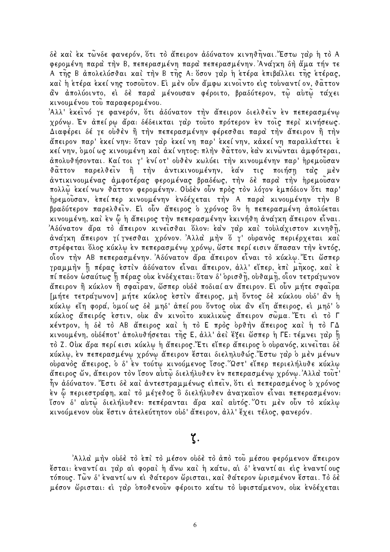δέ καὶ 'εκ τὦνδε φανερόν, ὅτι τὸ ἄπειρον ἀδύνατον κινηθηναι."Έστω γαρ ἡ τὸ Α φερομένη παρα την Β, πεπερασμένη παρα πεπερασμένην. Ανάγκη δη άμα τήν τε Α της Β άπολελύσθαι και την Β της Α: δσον γαρ η ετέρα επιβάλλει της ετέρας, και ή ετέρα εκεί νης τοσούτον. Ει μεν ούν άμφω κινοίντο εις τούναντί ον, θάττον αν απολύοιντο, ει δέ παρα μένουσαν φέροιτο, βραδύτερον, τώ αυτώ τάχει κινουμένου του παραφερομένου.

Ἀλλ' ἐκεἶνό γε φανερόν, ὅτι ἀδύνατον τὴν ἄπειρον διελθεἶν ἐν πεπερασμένω χρόνω. Έν απείρω άρα: δέδεικται γαρ τούτο πρότερον εν τοις περι κινήσεως. Διαφέρει δέ γε οὐθὲν ἢ τὴν πεπερασμένην φέρεσθαι παρα τὴν ἄπειρον ἢ τὴν άπειρον παρ' έκεί νην: δταν γαρ έκεί νη παρ' έκεί νην, κάκεί νη παραλλάττει έ κεί νην, δμοί ως κινουμένη και άκί νητος: πλην θαττον, εαν κινώνται άμφότεραι, άπολυθήσονται. Καί τοι γ' ενί οτ' ούθεν κωλύει την κινουμένην παρ' ήρεμούσαν θἆττον παρελθείν ἢ την ἀντικινουμένην, εαν τις ποιήση τας μέν άντικινουμένας άμφοτέρας φερομένας βραδέως, την δε παρα την ηρεμούσαν πολλὦ έκεί νων θᾶττον φερομένην. Οὐδὲν οὖν πρὸς τὸν λόγον ἐμπόδιον ὅτι παρ' ήρεμούσαν, επείπερ κινουμένην ενδέχεται την Α παρα κινουμένην την Β βραδύτερον παρελθείν. Ει ούν άπειρος ο χρόνος δν η πεπερασμένη απολύεται κινουμένη, και εν ὧ η άπειρος την πεπερασμένην εκινήθη αναγκη άπειρον είναι. <sup>'</sup>Αδύνατον άρα τὸ ἀπειρον κινεῖσθαι ὅλον: ἐαν γαρ καὶ τοὐλαγιστον κινηθῆ, άνάγκη άπειρον γίγνεσθαι χρόνον. Άλλα μήν δ γ' ουρανός περιέρχεται και στρέφεται δλος κύκλω εν πεπερασμένω χρόνω, ώστε περί εισιν άπασαν την εντός, οΐον την AB πεπερασμένην. Αδύνατον άρα άπειρον είναι το κύκλω. Έτι ώσπερ γραμμήν ή πέρας εστιν αδύνατον είναι άπειρον, άλλ' είπερ, επι μηχος, και ε πί πεδον ώσαύτως ἧ πέρας οὐκ 'ενδέχεται: ὅταν δ' ὁρισθῆ, οὐθαμῆ, οἶον τετράγωνον άπειρον ἢ κύκλον ἢ σφαῖραν, ὥσπερ οὐδὲ ποδιαίαν ἄπειρον. Εἰ οὖν μήτε σφαῖρα [μήτε τετράγωνον] μήτε κύκλος 'εστιν άπειρος, μη όντος δε κύκλου ουδ' άν η κύκλω είη φορά, δμοίως δέ μηδ' άπείρου όντος ούκ άν είη άπειρος, εί μηδ' δ κύκλος άπειρός έστιν, ούκ άν κινοίτο κυκλικως άπειρον σωμα. Έτι εί το Γ κέντρον, ή δέ το AB άπειρος και ή το E προς ορθήν άπειρος και ή το ΓΔ κινουμένη, ουδέποτ' άπολυθήσεται της Ε, άλλ' άει έξει ώσπερ η ΓΕ: τέμνει γαρ η τὸ Ζ. Οὐκ ἄρα περί εισι κύκλω ἡ ἄπειρος. Έτι εἴπερ ἄπειρος ὁ οὐρανός, κινεῖται δε κύκλω, εν πεπερασμένω χρόνω άπειρον έσται διεληλυθώς. Έστω γαρ ο μεν μένων ούρανός άπειρος, ο δ' έν τούτω κινούμενος Ίσος. Ώστ' είπερ περιελήλυθε κύκλω άπειρος ὤν, άπειρον τον ἴσον αὑτῷ διελήλυθεν ἐν πεπερασμένω χρόνω. Ἀλλα τοῦτ' ήν αδύνατον. Έστι δε και αντεστραμμένως ειπείν, ότι ει πεπερασμένος ο χρόνος έν ὧ περιεστράφη, καὶ τὸ μέγεθος ὃ διελήλυθεν ἀναγκαῖον εἶναι πεπερασμένον: ἴσον δ' αὑτῷ διελήλυθεν: πεπέρανται ἄρα καὶ αὐτός. Ότι μὲν οὖν τὸ κύκλῳ κινούμενον ούκ έστιν άτελεύτητον ούδ' άπειρον, άλλ' έχει τέλος, φανερόν.

 $\zeta$ .

Αλλα μην ούδε το επι το μέσον ουδε το άπο του μέσου φερόμενον άπειρον έσται: έναντίαι γαρ αί φοραι ή άνω και ή κάτω, αί δ' έναντίαι είς εναντίους τόπους. Τῶν δ' εναντί ων εί θάτερον ὥρισται, καὶ θάτερον ὡρισμένον ἔσται. Τὸ δὲ μέσον ὥρισται: εἰ γαρ ὁποθενουν φέροιτο κατω τὸ ὑφισταμενον, οὐκ ἐνδέχεται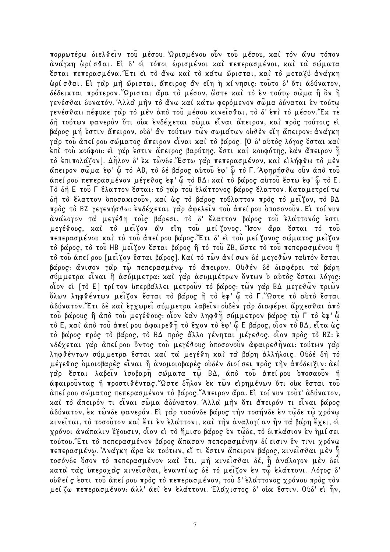πορρωτέρω διελθείν τοῦ μέσου. Ώρισμένου οὖν τοῦ μέσου, καὶ τὸν ἄνω τόπον άνάγκη ώρίσθαι. Ε'ι δ' οί τόποι ώρισμένοι και πεπερασμένοι, και τα σώματα έσται πεπερασμένα."Έτι ει τὸ ἄνω καὶ τὸ κάτω ὥρισται, καὶ τὸ μεταξὺ ἀνάγκη ώρίσθαι. Ε' γαρ μη ώρισται, άπειρος αν είη η κίνησις: τούτο δ' ότι αδύνατον, δέδεικται πρότερον. Ώρισται άρα τὸ μέσον, ὥστε καὶ τὸ ἐν τούτῳ σωμα ἢ ὂν ἢ γενέσθαι δυνατόν. Άλλα μήν το άνω και κάτω φερόμενον σώμα δύναται εν τούτω γενέσθαι: πέφυκε γαρ το μεν άπο του μέσου κινείσθαι, το δ'επι το μέσον. Έκ τε δη τούτων φανερόν ότι ούκ ενδέχεται σώμα είναι άπειρον, και πρός τούτοις εί βάρος μή έστιν άπειρον, ούδ' άν τούτων των σωμάτων ούθεν είη άπειρον: άνάγκη γαρ του άπεί ρου σώματος άπειρον είναι και το βάρος. [Ο δ' αυτος λόγος έσται και ἐπὶ τοῦ κούφου: εἰ γάρ ἐστιν ἄπειρος βαρύτης, ἔστι καὶ κουφότης, ἐαν ἄπειρον ἦ τὸ ἐπιπολάζον]. Δηλον δ' ἐκ τῶνδε. Έστω γαρ πεπερασμένον, και ειλήφθω τὸ μεν άπειρον σῶμα 'εφ' ῷ τὸ AB, τὸ δὲ βάρος αὐτοῦ 'εφ' ῷ τὸ Γ. Ἀφηρήσθω οὖν ἀπὸ τοῦ άπεί ρου πεπερασμένον μέγεθος 'έφ' ὧ τὸ ΒΔ: καὶ τὸ βάρος αὐτοῦ ἔστω 'έφ' ὧ τὸ Ε. Τὸ δὴ Ε τοῦ Γ ἔλαττον ἔσται: τὸ γαρ τοῦ ἐλαττονος βαρος ἔλαττον. Καταμετρεί τω δή το έλαττον δποσακισούν, και ώς το βάρος τούλαττον προς το μείζον, το ΒΔ πρός το BZ γεγενήσθω: ενδέχεται γαρ άφελεΐν του άπεί ρου οποσονουν. Ει τοί νυν άναλογον τα μεγέθη τοις βαρεσι, το δ' έλαττον βαρος του ελαττονός εστι μεγέθους, και το μείζον άν είη του μείζονος "Ισον άρα έσται το του πεπερασμένου και το του απείρου βάρος. Έτι δ' ει του μείζονος σώματος μείζον τὸ βάρος, τὸ τοῦ HB μεἶζον ἔσται βάρος ἢ τὸ τοῦ ZB, ὥστε τὸ τοῦ πεπερασμένου ἢ τὸ τοῦ ἀπεί ρου [μεἶ (ον ἔσται βάρος]. Καὶ τὸ τῶν ἀνί σων δὲ μεγεθῶν ταὐτὸν ἔσται βάρος: άνισον γαρ τώ πεπερασμένω το άπειρον. Ούθεν δε διαφέρει τα βάρη σύμμετρα είναι ή ασύμμετρα: και γαρ ασυμμέτρων όντων ο αυτος έσται λόγος: οἷον εἰ [τὸ E] τρίτον ὑπερβαλλει μετροῦν τὸ βαρος: τῶν γαρ ΒΔ μεγεθῶν τριῶν δλων ληφθέντων μείζον ἔσται τὸ βάρος ἢ τὸ ἐφ' ῷ τὸ Γ.ΎΩστε τὸ αὐτὸ ἔσται άδύνατον."Έτι δέ καὶ 'έγχωρεῖ σύμμετρα λαβεῖν: οὐδεν γαρ διαφέρει ἄρχεσθαι ἀπὸ τοῦ βάρους ἢ ἀπὸ τοῦ μεγέθους: οἶον ἐαν ληφθῆ σύμμετρον βάρος τῷ Γ τὸ ἐφ' ῷ τὸ Ε, καὶ ἀπὸ τοῦ ἀπεί ρου ἀφαιρεθῆ τὸ ἔχον τὸ ἐφ' ῷ Ε βάρος, οἶον τὸ ΒΔ, εἶτα ὡς τὸ βάρος πρὸς τὸ βάρος, τὸ ΒΔ πρὸς ἄλλο γένηται μέγεθος, οἶον πρὸς τὸ BZ: ε νδέχεται γαρ άπείρου όντος του μεγέθους δποσονουν άφαιρεθηναι: τούτων γαρ ληφθέντων σύμμετρα ἔσται καὶ τὰ μεγέθη καὶ τὰ βάρη ἀλλήλοις. Οὐδὲ δὴ τὸ μέγεθος δμοιοβαρές είναι ή άνομοιοβαρές ούδεν διοίσει πρός την απόδειξιν: άει γαρ έσται λαβείν ισοβαρη σώματα τῷ ΒΔ, ἀπὸ τοῦ ἀπείρου δποσαοῦν ἢ άφαιρούντας ή προστιθέντας. Ώστε δηλον έκ των ειρημένων ότι ούκ έσται του άπεί ρου σώματος πεπερασμένον τὸ βάρος."Απειρον άρα. Ει τοί νυν τοῦτ' ἀδύνατον, καὶ τὸ ἄπειρόν τι εἶναι σῶμα ἀδύνατον. Ἀλλα μὴν ὅτι ἄπειρόν τι εἶναι βάρος άδύνατον, έκ τῶνδε φανερόν. Ει γαρ τοσόνδε βάρος την τοσήνδε εν τῷδε τῷ χρόνῳ κινείται, το τοσούτον και έτι εν ελάττονι, και την αναλογί αν ην τα βάρη έχει, οι χρόνοι άναπαλιν έξουσιν, οίον ει το ήμισυ βάρος εν τὧδε, το διπλάσιον εν ημίσει τούτου. Έτι τὸ πεπερασμένον βάρος ἄπασαν πεπερασμένην δί εισιν έν τινι χρόνω πεπερασμένω. Ανάγκη άρα εκ τούτων, εί τι έστιν άπειρον βάρος, κινεισθαι μεν ξ τοσόνδε όσον τὸ πεπερασμένον καὶ ἔτι, μὴ κινεἶσθαι δέ, ἧ ἀνάλογον μὲν δεἶ κατα τας υπεροχας κινείσθαι, εναντίως δε το μείζον εν τω ελαττονι. Λόγος δ' ούθείς έστι του άπεί ρου πρός το πεπερασμένον, του δ'ελάττονος χρόνου προς τον μείζω πεπερασμένον: άλλ' ἀεὶ ἐν ἐλάττονι. Έλάχιστος δ' οὐκ ἔστιν. Οὐδ' εἰ ἦν,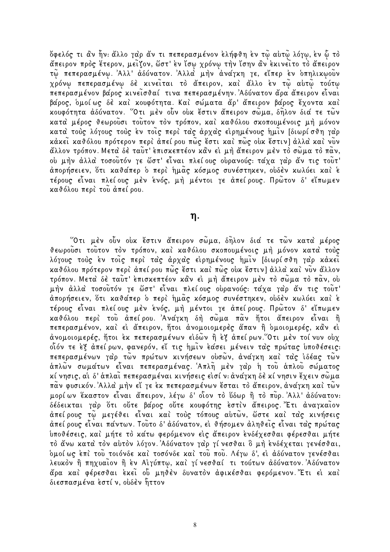ὄφελός τι ἂν ἦν: ἄλλο γαρ ἄν τι πεπερασμένον ἐλήφθη ἐν τῷ αὐτῷ λόγῳ, ἐν ῷ τὸ άπειρον πρὸς ἕτερον, μεἶζον, ὥστ' ἐν ἴσω χρόνω τὴν ἴσην ἀν ἐκινεἶτο τὸ ἄπειρον τώ πεπερασμένω. Άλλ' αδύνατον. Άλλα μήν αναγκη γε, είπερ εν δπηλικωούν γρόνω πεπερασμένω δὲ κινεἶται τὸ ἄπειρον, καὶ ἄλλο ἐν τῷ αὐτῷ τούτω πεπερασμένον βάρος κινεϊσθαί τινα πεπερασμένην. Αδύνατον άρα άπειρον είναι βάρος, δμοίως δέ και κουφότητα. Και σώματα άρ' άπειρον βάρος έχοντα και κουφότητα αδύνατον. Ότι μέν οὖν οὐκ ἔστιν άπειρον σὦμα, δηλον δια τε τὦν κατα μέρος θεωρούσι τούτον τον τρόπον, και καθόλου σκοπουμένοις μή μόνον κατα τούς λόγους τούς έν τοις περί τας άρχας ειρημένους ημιν [διωρίσθη γαρ κάκει καθόλου πρότερον περί άπεί ρου πως έστι και πως ούκ έστιν] άλλα και νύν άλλον τρόπον. Μετα δε ταύτ' επισκεπτέον κάν εί μη άπειρον μεν το σώμα το παν, ού μήν άλλα τοσούτόν γε ὥστ' εἶναι πλείους ουρανούς: τάχα γαρ άν τις τοῦτ' άπορήσειεν, ότι καθάπερ ο περί ημας κόσμος συνέστηκεν, ουδέν κωλύει και ε τέρους είναι πλείους μέν ένός, μή μέντοι γε άπείρους. Πρώτον δ' είπωμεν καθόλου περί του άπεί ρου.

### η.

Ότι μὲν οὗν οὐκ ἔστιν ἄπειρον σῶμα, δῆλον διά τε τῶν κατὰ μέρος θεωρούσι τούτον τον τρόπον, και καθόλου σκοπουμένοις μη μόνον κατα τους λόγους τους έν τοις περι τας άρχας ειρημένους ημίν [διωρίσθη γαρ κάκει καθόλου πρότερον περί άπεί ρου πὦς έστι και πὦς ούκ έστιν] άλλα και νύν άλλον τρόπον. Μετα δέ ταύτ' επισκεπτέον κάν εί μη άπειρον μέν το σώμα το παν, ού μήν άλλα τοσούτόν γε ώστ' είναι πλεί ους ούρανούς: τάχα γαρ άν τις τούτ' άπορήσειεν, ότι καθάπερ ο περί ημάς κόσμος συνέστηκεν, ουδέν κωλύει και ε τέρους είναι πλείους μεν ενός, μη μέντοι γε άπείρους. Πρώτον δ' είπωμεν καθόλου περί του άπείρου. Ανάγκη δη σώμα παν ήτοι άπειρον είναι ή πεπερασμένον, και ει άπειρον, ήτοι άνομοιομερές άπαν ή δμοιομερές, κάν ει άνομοιομερές, ήτοι έκ πεπερασμένων ειδών ή έξ άπεί ρων. Ότι μέν τοί νυν ούχ οἷόν τε έζ άπείρων, φανερόν, εἴ τις ἡμἶν ἐασει μένειν τας πρώτας ὑποθέσεις: πεπερασμένων γαρ τὦν πρώτων κινήσεων ουσὦν, ανάγκη και τας ιδέας τῶν άπλῶν σωμάτων εἶναι πεπερασμένας. Άπλῆ μὲν γαρ ἡ τοῦ ἁπλοῦ σώματος κί νησις, αι δ' άπλαι πεπερασμέναι κινήσεις εισί ν: άναγκη δε κί νησιν έχειν σῶμα πᾶν φυσικόν. Αλλα μήν εἴ γε ἐκ πεπερασμένων ἔσται τὸ ἄπειρον, ἀναγκη καὶ τῶν μορίων έκαστον είναι άπειρον, λέγω δ' οΐον τὸ ὕδωρ ἢ τὸ πὖρ. Ἀλλ' ἀδύνατον: δέδεικται γαρ δτι ούτε βάρος ούτε κουφότης εστιν άπειρος. Έτι αναγκαίον άπείρους τώ μεγέθει είναι και τους τόπους αυτών, ώστε και τας κινήσεις άπεί ρους είναι πάντων. Τούτο δ' άδύνατον, ει θήσομεν άληθεις είναι τας πρώτας υποθέσεις, και μήτε το κάτω φερόμενον εις άπειρον ενδέχεσθαι φέρεσθαι μήτε τό άνω κατα τον αύτον λόγον. Αδύνατον γαρ γίνεσθαι δ μή ενδέχεται γενέσθαι, δμοίως έπι του τοιόνδε και τοσόνδε και του που. Λέγω δ', ει αδύνατον γενέσθαι λευκόν ή πηχυαίον ή εν Αιγύπτω, και γίνεσθαί τι τούτων άδύνατον. Αδύνατον άρα καὶ φέρεσθαι εκεἶ οὗ μηθεν δυνατον αφικέσθαι φερόμενον. Έτι ει καὶ διεσπασμένα 'εστίν, ούδεν ηττον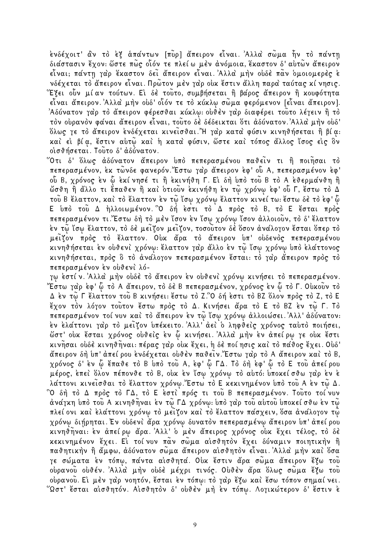ένδέχοιτ' ἂν τὸ 'εξ άπάντων [πὖρ] ἄπειρον εἶναι. Άλλα σὦμα ἦν τὸ πάντη διάστασιν ἔχον: ὥστε πὦς οἷόν τε πλεί ω μὲν ἀνόμοια, ἕκαστον δ' αὐτὦν ἄπειρον εἶναι; πάντη γαρ ἕκαστον δεἶ ἄπειρον εἶναι Ἀλλα μην οὐδε παν δμοιομερες ε νδέχεται τὸ ἄπειρον εἶναι. Πρῶτον μεν γαρ οὐκ ἔστιν ἄλλη παρα ταύτας κίνησις. Έξει οὖν μίαν τούτων. Εἰ δὲ τοῦτο, συμβήσεται ἢ βάρος ἄπειρον ἢ κουφότητα εἶναι άπειρον. Ἀλλα μὴν οὐδ' οἶόν τε τὸ κύκλῳ σῶμα φερόμενον [εἶναι άπειρον]. Αδύνατον γαρ το άπειρον φέρεσθαι κύκλω: ούθεν γαρ διαφέρει τούτο λέγειν ή το τόν ουρανόν φάναι άπειρον είναι, τουτο δέ δέδεικται ότι άδύνατον. Άλλα μήν ουδ' δλως γε τὸ ἄπειρον ἐνδέχεται κινεἶσθαι. Ή γαρ κατα φύσιν κινηθήσεται ἢ βία: και εί βία, έστιν αυτώ και ή κατα φύσιν, ώστε και τόπος άλλος Ίσος είς δν οισθήσεται. Τούτο δ' άδύνατον.

Ότι δ' ὅλως ἀδύνατον ἄπειρον ὑπὸ πεπερασμένου παθεῖν τι ἢ ποιῆσαι τὸ πεπερασμένον, έκ τὦνδε φανερόν. Έστω γαρ άπειρον 'εφ' οὗ Α, πεπερασμένον 'εφ' ού Β, χρόνος έν ω έκίνησέ τι ή εκινήθη Γ. Εί δη ύπο του Β το Α εθερμάνθη ή ὤσθη ἢ ἄλλο τι ἔπαθεν ἢ καὶ ὁτιοῦν ἐκινήθη ἐν τῶ χρόνω ἐφ' οὗ Γ, ἔστω τὸ Δ του Β έλαττον, και το έλαττον εν τω Ίσω χρόνω έλαττον κινεί τω: έστω δε το εφ' ώ Ε υπό του Δ ηλλοιωμένον. Ο δή εστι το Δ πρός το Β, το Ε έσται προς πεπερασμένον τι. Έστω δή το μεν Ίσον εν Ίσω χρόνω Ίσον αλλοιούν, το δ' έλαττον έν τῷ ἴσῳ ἔλαττον, τὸ δὲ μεἶζον μεἶζον, τοσοῦτον δὲ ὅσον ἀναλογον ἔσται ὅπερ τὸ μείζον πρός το έλαττον. Ούκ άρα το άπειρον υπ' ουδενος πεπερασμένου κινηθήσεται έν ούθενί χρόνω: έλαττον γαρ άλλο έν τῷ ἴσω χρόνω ὑπὸ ἐλάττονος κινηθήσεται, πρός δ το αναλογον πεπερασμένον έσται: το γαρ άπειρον προς το πεπερασμένον έν ούθενι λό-

γω έστίν. Άλλα μήν ούδε το άπειρον έν ούθενι χρόνω κινήσει το πεπερασμένον. "Έστω γαρ ἐφ' ὧ τὸ Α ἄπειρον, τὸ δὲ Β πεπερασμένον, χρόνος ἐν ὧ τὸ Γ. Οὐχοῦν τὸ Δ εν τῷ Γ ἔλαττον τοῦ Β κινήσει: ἔστω τὸ Ζ.Ὁ δή ἐστι τὸ ΒΖ ὅλον πρὸς τὸ Ζ, τὸ Ε έχον τον λόγον τούτον έστω προς το Δ. Κινήσει άρα το Ε το BZ εν τώ Γ. Το πεπερασμένον τοί νυν και το άπειρον εν τῷ ἴσῳ χρόνῳ ἀλλοιώσει. Άλλ' ἀδύνατον: έν ελάττονι γαρ το μείζον υπέκειτο. Άλλ' άει ο ληφθεις χρόνος ταυτο ποιήσει, ώστ' ούκ έσται χρόνος ούθείς εν ὧ κινήσει. Άλλα μην εν άπείρω γε ούκ έστι κινήσαι ούδε κινηθήναι: πέρας γαρ ούκ έχει, ή δε ποί ησις και το πάθος έχει. Ούδ' άπειρον δη υπ' άπεί ρου ενδέχεται ουθεν παθείν. Έστω γαρ το Α άπειρον και το Β, χρόνος δ' έν ὧ ἔπαθε τὸ Β ὑπὸ τοῦ Α, ἐφ' ῷ ΓΔ. Τὸ δη 'έφ' ῷ τὸ Ε τοῦ ἀπείρου μέρος, επεί δλον πέπονθε το Β, ούκ εν Ίσω χρόνω το αυτό: υποκεί σθω γαρ εν ε λάττονι κινείσθαι τὸ ἔλαττον χρόνω. Έστω τὸ Ε κεκινημένον ὑπὸ τοῦ Α 'εν τῶ Δ. <sup>o</sup> δή τὸ Δ πρὸς τὸ ΓΔ, τὸ E ἐστὶ πρός τι τοῦ B πεπερασμένον. Τοῦτο τοίνυν άναγκη υπό τοῦ Α κινηθῆναι 'εν τῷ ΓΔ χρόνῳ: υπὸ γαρ τοῦ αὐτοῦ υποκεί σθω 'εν τῷ πλεί ονι και ελάττονι χρόνω το μειζον και το έλαττον πάσχειν, δσα ανάλογον τω γρόνω διήρηται. Έν ουδενι άρα χρόνω δυνατον πεπερασμένω άπειρον υπ' απεί ρου κινηθηναι: εν απείρω άρα. Άλλ' ο μεν άπειρος χρόνος ούκ έχει τέλος, το δε κεκινημένον έχει. Ει τοίνυν παν σώμα αισθητον έχει δύναμιν ποιητικήν ή παθητικήν ἢ άμφω, ἀδύνατον σῶμα ἄπειρον αισθητὸν εἶναι. Ἀλλα μήν καὶ ὅσα γε σώματα έν τόπω, πάντα αισθητά. Ουκ έστιν άρα σώμα άπειρον έξω του ούρανού ούθέν. Αλλά μήν ούδε μέχρι τινός. Ούθεν άρα δλως σώμα έξω του ούρανου. Ει μέν γαρ νοητόν, έσται εν τόπω: το γαρ έξω και έσω τόπον σημαίνει. <sup>ν</sup>Ωστ' ἔσται αἰσθητόν. Αἰσθητὸν δ' οὐθὲν μὴ ἐν τόπῳ. Λογικώτερον δ' ἔστιν ἐ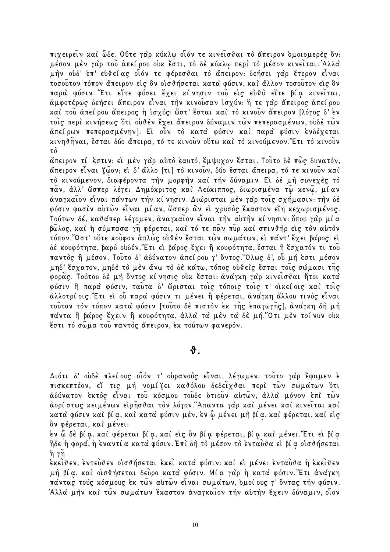πιχειρείν και ὧδε. Ούτε γαρ κύκλω οἷόν τε κινείσθαι το άπειρον δμοιομερες ὄν: μέσον μέν γαρ τοῦ ἀπεί ρου οὐκ ἔστι, τὸ δὲ κύκλω περὶ τὸ μέσον κινεῖται. Ἀλλα μήν οὐδ' ἐπ' εὐθείας οἷόν τε φέρεσθαι τὸ ἄπειρον: δεήσει γαρ ἕτερον εἶναι τοσούτον τόπον άπειρον είς δν οισθήσεται κατα φύσιν, και άλλον τοσούτον είς δν παρα φύσιν. Έτι είτε φύσει έχει κίνησιν του είς εύθυ είτε βία κινειται, άμφοτέρως δεήσει άπειρον εἶναι τὴν κινοῦσαν ἰσχύν: ἥ τε γαρ άπειρος ἀπείρου και του άπείρου άπειρος η ισχύς: ὥστ' ἔσται και το κινουν άπειρον [λόγος δ'εν τοις περι κινήσεως ότι ουθεν έχει άπειρον δύναμιν των πεπερασμένων, ουδε των άπείρων πεπερασμένην]. Ει οὖν τὸ κατα φύσιν καὶ παρα φύσιν ἐνδέχεται κινηθηναι, έσται δύο άπειρα, τό τε κινούν ούτω και το κινούμενον. Έτι το κινούν  $\tau\grave{o}$ 

άπειρον τί έστιν; εί μέν γαρ αύτο έαυτό, έμψυχον έσται. Τούτο δέ πως δυνατόν, άπειρον εἶναι ζὧον; εἰ δ' ἄλλο [τι] τὸ κινοῢν, δύο ἔσται άπειρα, τό τε κινοῢν καὶ τό κινούμενον, διαφέροντα την μορφην και την δύναμιν. Ει δε μη συνεχες το πᾶν, ἀλλ' ὥσπερ λέγει Δημόκριτος καὶ Λεύκιππος, διωρισμένα τὦ κενὦ, μίαν άναγκαίον είναι πάντων την κίνησιν. Διώρισται μεν γαρ τοις σχήμασιν: την δε φύσιν φασὶν αὐτῶν εἶναι μίαν, ὥσπερ ἀν εἰ χρυσὸς ἕκαστον εἴη κεχωρισμένος. Τούτων δέ, καθάπερ λέγομεν, άναγκαΐον εἶναι την αύτην κίνησιν: ὅπου γαρ μία βωλος, και η σύμπασα γη φέρεται, και τό τε παν πυρ και σπινθηρ εις τον αυτον τόπον. Ώστ' ούτε κούφον άπλῶς οὐθεν ἔσται τῶν σωμάτων, ει πάντ' ἔχει βάρος: ει δέ κουφότητα, βαρύ ουδέν. Έτι ει βάρος έχει ή κουφότητα, έσται ή έσχατόν τι του παντός ή μέσον. Τούτο δ' άδύνατον άπεί ρου γ' όντος. Όλως δ', ού μή έστι μέσον μηδ' έσχατον, μηδέ τὸ μέν άνω τὸ δε κάτω, τόπος οὐθεις έσται τοις σώμασι της φορας. Τούτου δέ μη όντος κίνησις ούκ έσται: άναγκη γαρ κινεισθαι ήτοι κατα φύσιν ή παρα φύσιν, ταύτα δ' ὥρισται τοις τόποις τοις τ' οίκεί οις και τοις άλλοτρί οις."Έτι ει οὗ παρα φύσιν τι μένει ἢ φέρεται, ἀναγκη ἄλλου τινὸς εἶναι τούτον τον τόπον κατα φύσιν [τούτο δε πιστον εκ της επαγωγης], αναγκη δη μη πάντα ἢ βάρος ἔχειν ἢ κουφότητα, ἀλλα τα μεν τα δε μή Ότι μεν τοίνυν ούκ έστι τὸ σώμα του παντὸς ἄπειρον, εκ τούτων φανερόν.

# $\boldsymbol{\vartheta}$  .

Διότι δ' οὐδὲ πλείους οἶόν τ' οὐρανοὺς εἶναι, λέγωμεν: τοῦτο γαρ ἔφαμεν ἐ πισκεπτέον, εί τις μή νομίζει καθόλου δεδείχθαι περὶ τῶν σωμάτων ὅτι άδύνατον έκτος είναι του κόσμου τουδε δτιούν αύτων, άλλα μόνον επι των άορίστως κειμένων ειρησθαι τον λόγον. Άπαντα γαρ και μένει και κινειται και κατα φύσιν και βία, και κατα φύσιν μέν, εν ὧ μένει μη βία, και φέρεται, και είς δν φέρεται, καὶ μένει:

έν ὧ δὲ βία, καὶ φέρεται βία, καὶ εἰς ὃν βία φέρεται, βία καὶ μένει."Έτι εἰ βία ήδε ή φορά, ή εναντί α κατα` φύσιν. Έπι` δη` το μέσον το ενταυθα ει βί α οισθήσεται ή γη

έκει̃θεν, ἐντεῦθεν οἰσθήσεται ἐκεῐ κατὰ φύσιν: καὶ εἰ μένει ἐνταῦθα ἡ ἐκει̃θεν μή βία, καὶ οἰσθήσεται δεῦρο κατα φύσιν. Μία γαρ ἡ κατα φύσιν. Έτι ἀνάγκη πάντας τούς κόσμους έκ των αύτων είναι σωμάτων, όμοί ους γ' όντας την φύσιν. Άλλα μήν καὶ τῶν σωμάτων ἕκαστον ἀναγκαῖον τὴν αὐτὴν ἔχειν δύναμιν, οἷον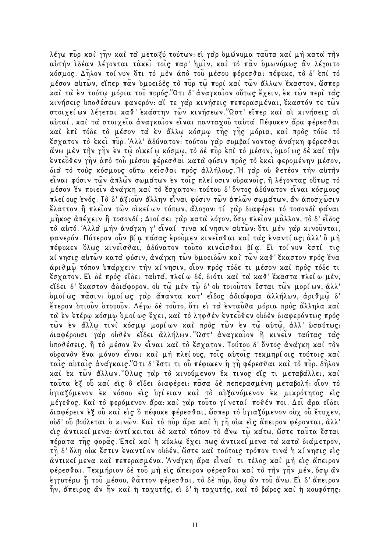λέγω πύρ και γην και τα μεταξυ τούτων: ει γαρ δμώνυμα ταύτα και μη κατα την αύτην ιδέαν λέγονται τάκει τοις παρ' ήμιν, και το παν δμωνύμως άν λέγοιτο κόσμος. Δήλον τοίνυν ότι τὸ μεν ἀπὸ του μέσου φέρεσθαι πέφυκε, τὸ δ' επὶ τὸ μέσον αὐτῶν, εἴπερ πᾶν δμοειδὲς τὸ πῦρ τῷ πυρὶ καὶ τῶν ἄλλων ἕκαστον, ὥσπερ και τα έν τούτω μόρια του πυρός. Ότι δ' άναγκαιον ούτως έχειν, εκ των περι τας κινήσεις υποθέσεων φανερόν: αί τε γαρ κινήσεις πεπερασμέναι, έκαστόν τε των στοιχείων λέγεται καθ' εκάστην των κινήσεων. Ώστ' εἴπερ καὶ αἱ κινήσεις αἱ αύταί, καὶ τα στοιχεἶα ἀναγκαἶον εἶναι πανταχοῦ ταὐτά. Πέφυκεν ἄρα φέρεσθαι καὶ ἐπὶ τόδε τὸ μέσον τὰ ἐν ἄλλψ κόσμψ της γης μόρια, καὶ πρὸς τόδε τὸ έσχατον τὸ ἐκεἶ πὗρ. Ἀλλ' ἀδύνατον: τούτου γαρ συμβαί νοντος ἀνάγκη φέρεσθαι άνω μεν την γην εν τῷ οἰκεί ῳ κόσμῳ, τὸ δὲ πῦρ ἐπὶ τὸ μέσον, ὁμοί ως δὲ καὶ την έντεὖθεν γῆν ἀπὸ τοῦ μέσου φέρεσθαι κατα φύσιν πρὸς τὸ ἐκεἶ φερομένην μέσον, δια το τούς κόσμους ούτω κείσθαι πρός άλλήλους. Ή γαρ ού θετέον την αύτην εἶναι φύσιν τῶν ἁπλῶν σωμάτων ἐν τοῖς πλεί οσιν οὐρανοῖς, ἢ λέγοντας οὕτως τὸ μέσον εν ποιείν άναγκη και το έσχατον: τούτου δ' όντος αδύνατον είναι κόσμους πλεί ους ένός. Τὸ δ' ἀξιοῦν ἄλλην εἶναι φύσιν τῶν ἁπλῶν σωμάτων, ἂν ἀποσχῶσιν έλαττον ἢ πλεἶον τῶν οἰκείων τόπων, ἄλογον: τί γαρ διαφέρει τὸ τοσονδὶ φαναι μῆκος ἀπέχειν ἢ τοσονδί; Διοί σει γαρ κατα λόγον, ὅσω πλεῖον μᾶλλον, τὸ δ' εἶδος τὸ αὐτό. Ἀλλα μὴν ἀναγκη γ' εἶναί τινα κίνησιν αὐτῶν: ὅτι μεν γαρ κινοῦνται, φανερόν. Πότερον οὖν βία πάσας εροῦμεν κινεῖσθαι καὶ τας εναντίας; ἀλλ' ὃ μή πέφυκεν δλως κινείσθαι, άδύνατον τούτο κινείσθαι βία. Ει τοίνυν εστί τις κί νησις αύτῶν κατα φύσιν, άνάγκη τῶν δμοειδῶν καὶ τῶν καθ ' ἕκαστον πρὸς ἕνα άριθμῷ τόπον ὑπάρχειν τὴν κίνησιν, οἷον πρὸς τόδε τι μέσον καὶ πρὸς τόδε τι έσχατον. Εί δέ πρὸς εἴδει ταὐτά, πλεί ω δέ, διότι καὶ τὰ καθ' ἕκαστα πλεί ω μέν, εἴδει δ' ἕκαστον ἀδιάφορον, οὐ τῷ μὲν τῷ δ' οὐ τοιοῦτον ἔσται τῶν μορί ων, ἀλλ' δμοίως πασιν: δμοίως γαρ άπαντα κατ' είδος αδιάφορα αλλήλων, αριθμώ δ' έτερον δτιούν δτουούν. Λέγω δε τούτο, δτι εί τα ενταύθα μόρια προς άλληλα και τα εν ετέρω κόσμω δμοί ως έχει, και το ληφθεν εντευθεν ουδεν διαφερόντως προς τῶν ἐν ἄλλῳ τινὶ κόσμῳ μορίων καὶ πρὸς τῶν ἐν τῷ αὐτῷ, ἀλλ' ὡσαύτως: διαφέρουσι γαρ ούθεν είδει άλλήλων. Ώστ' αναγκαίον ή κινείν ταύτας τας υποθέσεις, ή το μέσον εν είναι και το έσχατον. Τούτου δ' όντος άνάγκη και τον ούρανον ένα μόνον είναι και μη πλείους, τοις αυτοις τεκμηρίοις τούτοις και ταις αύταις αναγκαις. Ότι δ' έστι τι ού πέφυκεν ή γη φέρεσθαι και το πυρ, δηλον καὶ ἐκ τῶν ἄλλων. Όλως γαρ τὸ κινούμενον ἔκ τινος εἴς τι μεταβάλλει, καὶ ταυτα εξ ού και εις δ είδει διαφέρει: πασα δε πεπερασμένη μεταβολή: οίον το ύγιαζόμενον έκ νόσου είς υγίειαν και το αυξανόμενον εκ μικρότητος είς μέγεθος Καὶ τὸ φερόμενον ἄρα: καὶ γαρ τουτο γίνεταί ποθέν ποι. Δει ἄρα εἴδει διαφέρειν εξ οὗ καὶ εἰς ὃ πέφυκε φέρεσθαι, ὥσπερ τὸ ὑγιαζόμενον οὐχ οὗ ἔτυχεν, ούδ' ού βούλεται ο κινών. Και το πυρ άρα και η γη ούκ εις άπειρον φέρονται, άλλ' είς άντικεί μενα: άντί κειται δὲ κατα τόπον τὸ ἄνω τῷ κάτω, ὥστε ταυτα ἔσται πέρατα της φορας. Έπει και η κύκλω έχει πως αντικεί μενα τα κατα διάμετρον, τη δ' Όλη ούκ έστιν εναντίον ούδέν, ώστε και τούτοις τρόπον τινα η κίνησις είς άντικεί μενα καὶ πεπερασμένα. Ἀνάγκη ἄρα εἶναί τι τέλος καὶ μὴ εἰς ἄπειρον φέρεσθαι. Τεκμήριον δε του μη είς άπειρον φέρεσθαι και το την γην μέν, δσω άν έγγυτέρω ἦ τοῦ μέσου, θᾶττον φέρεσθαι, τὸ δὲ πῦρ, ὅσῳ ἀν τοῦ ἄνω. Εἰ δ' ἄπειρον ήν, άπειρος ἂν ἦν καὶ ἡ ταχυτής, εἰ δ' ἡ ταχυτής, καὶ τὸ βάρος καὶ ἡ κουφότης: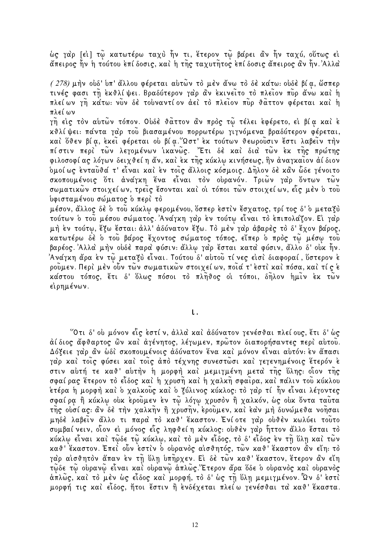ώς γαρ [εί] τώ κατωτέρω ταχύ ήν τι, έτερον τώ βάρει άν ήν ταχύ, ούτως εί άπειρος ἦν ἡ τούτου ἐπί δοσις, καὶ ἡ τῆς ταχυτῆτος ἐπί δοσις άπειρος ἀν ἦν. Ἀλλα

(278) μήν ούδ' ύπ' άλλου φέρεται αύτων το μεν άνω το δε κάτω: ούδε βία, ώσπερ τινές φασι τη εκθλίψει. Βραδύτερον γαρ άν εκινείτο το πλείον πυρ άνω και η πλείων γη κάτω: νύν δέ τούναντίον άει το πλείον πύρ θάττον φέρεται και ή πλεί ων

γη είς τον αύτων τόπον. Ουδε θαττον άν προς τω τέλει εφέρετο, ει βία και ε κθλί ψει: πάντα γαρ του βιασαμένου πορρωτέρω γιγνόμενα βραδύτερον φέρεται, και όθεν βία, εκει φέρεται ου βία. Ώστ' εκ τούτων θεωρούσιν έστι λαβείν την πίστιν περὶ τῶν λεγομένων ἱκανῶς. "Ετι δὲ καὶ δια τῶν ἐκ τῆς πρώτης φιλοσοφίας λόγων δειχθεί η άν, καὶ ἐκ τῆς κύκλῳ κινήσεως, ἣν ἀναγκαἶον ἀί διον δμοί ως 'ενταῦθα τ' εἶναι καὶ 'εν τοις ἄλλοις κόσμοις. Δηλον δε κάν ὧδε γένοιτο σκοπουμένοις ότι άναγκη ένα είναι τον ουρανόν. Τριών γαρ όντων τών σωματικών στοιχεί ων, τρείς έσονται και οι τόποι των στοιχεί ων, είς μεν ο του ύφισταμένου σώματος ο περί το

μέσον, άλλος δὲ ὁ τοῦ κύκλῳ φερομένου, ὅσπερ ἐστιν ἔσχατος, τρί τος δ' ὁ μεταξυ τούτων δ του μέσου σώματος. Ανάγκη γαρ εν τούτω είναι το επιπολάζον. Ει γαρ μή έν τούτω, έξω έσται: άλλ' άδύνατον έξω. Το μεν γαρ άβαρες το δ' έχον βάρος, κατωτέρω δε ο του βάρος έχοντος σώματος τόπος, είπερ ο προς τώ μέσω του βαρέος. Αλλα μήν ούδε παρα φύσιν: άλλω γαρ έσται κατα φύσιν, άλλο δ' ούκ ήν. 'Ανάγκη άρα 'εν τῷ μεταξύ εἶναι. Τούτου δ' αὐτοῦ τί νες εἰσὶ διαφοραί, ὕστερον 'ε ρούμεν. Περὶ μὲν οὖν τῶν σωματικῶν στοιχεί ων, ποια τ' ἐστὶ καὶ πόσα, καὶ τίς ἑ κάστου τόπος, έτι δ' δλως πόσοι το πληθος οι τόποι, δηλον ημίν έκ των ειρημένων.

ι.

Ότι δ' οὐ μόνον εἶς ἐστί ν, ἀλλα καὶ ἀδύνατον γενέσθαι πλεί ους, ἔτι δ' ὡς άίδιος άφθαρτος ὢν και άγένητος, λέγωμεν, πρώτον διαπορήσαντες περι αυτου. Δόξειε γαρ αν ώδι σκοπουμένοις αδύνατον ένα και μόνον είναι αυτόν: εν άπασι γαρ και τοις φύσει και τοις άπο τέχνης συνεστώσι και γεγενημένοις έτερόν ε στιν αύτή τε καθ' αύτην η μορφη και μεμιγμένη μετα της ύλης: οίον της σφαί ρας έτερον τὸ εἶδος καὶ ἡ χρυσῆ καὶ ἡ χαλκῆ σφαϊρα, καὶ πάλιν τοῦ κύκλου έτέρα ή μορφή και ο χαλκούς και ο ζύλινος κύκλος: το γαρ τί ήν είναι λέγοντες σφαίρα ἢ κύκλω οὐκ ἐροῦμεν ἐν τῷ λόγω χρυσὸν ἢ χαλκόν, ὡς οὐκ ὄντα ταῦτα της ούσίας: ἂν δε την χαλκην ή χρυσην, ερούμεν, και εαν μη δυνώμεθα νοησαι μηδέ λαβείν άλλο τι παρα το καθ' έκαστον. Ένί οτε γαρ ούθεν κωλύει τουτο συμβαίνειν, οίον ει μόνος είς ληφθεί η κύκλος: ούθεν γαρ ήττον άλλο έσται το κύκλω εἶναι καὶ τῷδε τῷ κύκλω, καὶ τὸ μὲν εἶδος, τὸ δ' εἶδος ἐν τῇ ὕλῃ καὶ τῶν καθ' έκαστον. Έπει ούν έστιν ο ουρανος αισθητός, των καθ' έκαστον άν είη: το γαρ αισθητον άπαν εν τη ύλη υπηρχεν. Ει δε των καθ' έκαστον, έτερον αν είη τῷδε τῷ οὐρανῷ εἶναι καὶ οὐρανῷ ἁπλῶς. Έτερον ἄρα ὅδε ὁ οὐρανὸς καὶ οὐρανὸς άπλώς, και το μεν ώς είδος και μορφή, το δ' ώς τη ύλη μεμιγμένον. Ών δ' εστι μορφή τις καὶ εἶδος, ἤτοι ἔστιν ἢ ἐνδέχεται πλείω γενέσθαι τα καθ' ἕκαστα.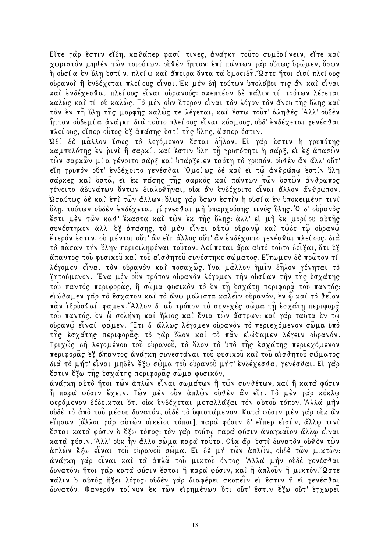Είτε γαρ έστιν είδη, καθάπερ φασί τινες, ανάγκη τούτο συμβαίνειν, είτε και γωριστὸν μηθὲν τῶν τοιούτων, οὐθὲν ἧττον: ἐπὶ πάντων γαρ οὕτως δρῶμεν, ὅσων ή οὐσία ἐν ὕλη ἐστίν, πλείω καὶ ἄπειρα ὄντα τα ὁμοειδη̃. Ώστε ἤτοι εἰσὶ πλεί ους ούρανοι ή ενδέχεται πλεί ους είναι. Έκ μεν δη τούτων υπολάβοι τις άν και είναι καὶ ἐνδέχεσθαι πλείους εἶναι οὐρανούς: σκεπτέον δὲ πάλιν τί τούτων λέγεται καλώς και τί ου καλώς. Το μεν ούν έτερον είναι τον λόγον τον άνευ της ύλης και τον εν τη ύλη της μορφης καλως τε λέγεται, και έστω τουτ' άληθές 'Αλλ' ουδεν ήττον ούδεμία άναγκη δια τούτο πλεί ους είναι κόσμους, ούδ' ενδέχεται γενέσθαι πλεί ους, είπερ ούτος εξ άπάσης εστι της ύλης, ώσπερ έστιν.

Ώδὶ δὲ μᾶλλον ἴσως τὸ λεγόμενον ἔσται δῆλον. Εὶ γάρ ἐστιν ἡ γρυπότης καμπυλότης έν ρινι ή σαρκί, και έστιν ύλη τη γρυπότητι η σάρζ, ει εζ απασών τῶν σαρκῶν μία γένοιτο σαρξ και υπάρξειεν ταύτη το γρυπόν, ουθεν ἀν ἄλλ' ούτ' εζη γρυπον ούτ ενδέχοιτο γενέσθαι Όμοίως δε και ει τω ανθρώπω εστιν ύλη σάρκες και όστα, ει εκ πάσης της σαρκός και πάντων των όστων άνθρωπος γένοιτο άδυνάτων ὄντων διαλυθῆναι, οὐκ ἂν ἐνδέχοιτο εἶναι ἄλλον ἄνθρωπον. 'Ωσαύτως δὲ καὶ ἐπὶ τῶν ἄλλων: ὅλως γαρ ὅσων ἐστὶν ἡ οὐσία ἐν ὑποκειμένη τινὶ ύλη, τούτων ουδέν ενδέχεται γίγνεσθαι μή υπαρχούσης τινός ύλης. Ο δ' ουρανός έστι μεν τῶν καθ' ἕκαστα καὶ τῶν ἐκ τῆς ὕλης: ἀλλ' εἰ μὴ ἐκ μορίου αὐτῆς συνέστηκεν άλλ' έξ άπάσης, το μεν είναι αυτώ ουρανώ και τώδε τω ουρανώ έτερόν έστιν, ού μέντοι ούτ' άν είη άλλος ούτ' άν ενδέχοιτο γενέσθαι πλεί ους, δια τὸ πᾶσαν τὴν ὕλην περιειληφέναι τοῦτον. Λεί πεται ἄρα αὐτὸ τοῦτο δεἶξαι, ὅτι ἐξ άπαντος τοῦ φυσικοῦ καὶ τοῦ αἰσθητοῦ συνέστηκε σώματος. Εἴπωμεν δὲ πρῶτον τί λέγομεν εἶναι τὸν οὐρανὸν καὶ ποσαχῶς, ἵνα μᾶλλον ἡμἶν δῆλον γένηται τὸ ζητούμενον. Ένα μέν οὖν τρόπον ουρανόν λέγομεν την ουσίαν την της εσχατης του παντός περιφοράς, ή σώμα φυσικόν το έν τη εσχάτη περιφορά του παντός: ειώθαμεν γαρ το έσχατον και το άνω μαλιστα καλείν ουρανόν, εν ὥ και το θείον παν ίδρύσθαί φαμεν. Άλλον δ' αὖ τρόπον το συνεχες σώμα τη εσχάτη περιφορα τοῦ παντός, ἐν ῷ σελήνη καὶ ἥλιος καὶ ἔνια τῶν ἄστρων: καὶ γαρ ταῦτα ἐν τῷ οὐρανῷ εἶναί φαμεν. "Ετι δ' ἄλλως λέγομεν οὐρανὸν τὸ περιεχόμενον σῶμα ὑπὸ της εσχάτης περιφοράς: το γαρ δλον και το παν ειώθαμεν λέγειν ουρανόν. Τριχώς δη λεγομένου του ουρανού, το όλον το υπο της εσχατης περιεχόμενον περιφοράς έξ άπαντος άναγκη συνεστάναι του φυσικού και του αισθητού σώματος δια το μήτ' είναι μηδεν έξω σώμα του ουρανου μήτ' ενδέχεσθαι γενέσθαι. Ει γαρ έστιν έξω της εσχάτης περιφοράς σώμα φυσικόν,

άνάγκη αὐτὸ ἤτοι τῶν ἁπλῶν εἶναι σωμάτων ἢ τῶν συνθέτων, καὶ ἢ κατὰ φύσιν ἢ παρα φύσιν ἔχειν. Τῶν μὲν οὗν ἁπλῶν οὐθὲν ἀν εἴη. Τὸ μὲν γαρ κύκλω φερόμενον δέδεικται ότι ούκ ενδέχεται μεταλλάξαι τον αύτου τόπον. Αλλα μήν ούδέ τὸ ἀπὸ τοῦ μέσου δυνατόν, οὐδὲ τὸ ὑφιστάμενον. Κατα φύσιν μὲν γαρ οὐκ ἀν εἴησαν [ἄλλοι γαρ αὐτῶν οἰκεῖοι τόποι], παρα φύσιν δ' εἴπερ εἰσίν, ἄλλω τινὶ έσται κατα` φύσιν ὁ ἔζω τόπος: τὸν γαρ τούτῳ παρα` φύσιν ἀναγκαῖον ἄλλῳ εἶναι κατα φύσιν. Άλλ' ούκ ἦν άλλο σῶμα παρα ταῦτα. Ούκ άρ' έστι δυνατον ούθεν τῶν άπλῶν ἔξω εἶναι τοῦ οὐρανοῦ σῶμα. Εὶ δὲ μὴ τῶν ἁπλῶν, οὐδὲ τῶν μικτῶν: άναγκη γαρ εἶναι καὶ τα ἁπλα τοῦ μικτοῦ ὄντος. Ἀλλα μὴν οὐδὲ γενέσθαι δυνατόν: ήτοι γαρ κατα φύσιν έσται ή παρα φύσιν, και ή απλουν ή μικτόν. Ώστε πάλιν ο αὐτὸς ἥξει λόγος: οὐδὲν γαρ διαφέρει σκοπείν εἰ ἔστιν ἢ εἰ γενέσθαι δυνατόν. Φανερὸν τοίνυν εκ τῶν εἰρημένων ὅτι οὔτ' ἔστιν ἔξω οὔτ' εγχωρεϊ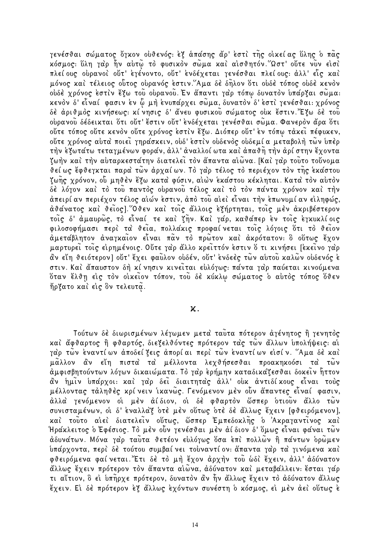γενέσθαι σώματος όγκον ούθενός: εξ άπάσης άρ' εστί της οίκείας ύλης ο πας κόσμος: Όλη γαρ ἦν αύτὦ τὸ φυσικὸν σὦμα καὶ αισθητόν. "Ωστ' ούτε νŨν εισι πλεί ους ούρανοί ούτ' έγένοντο, ούτ' ενδέχεται γενέσθαι πλεί ους: άλλ' είς και μόνος και τέλειος ούτος ουρανός εστιν. Άμα δε δηλον ότι ουδε τόπος ουδε κενον ούδε χρόνος εστιν έξω του ούρανου. Έν άπαντι γαρ τόπω δυνατον υπάρξαι σώμα: κενόν δ' εἶναί φασιν εν ὧ μη ενυπάρχει σῶμα, δυνατόν δ' εστι γενέσθαι: χρόνος δέ άριθμός κινήσεως: κίνησις δ' άνευ φυσικού σώματος ούκ έστιν. Έξω δέ του ούρανοῦ δέδεικται ὅτι οὔτ' ἔστιν οὔτ' ἐνδέχεται γενέσθαι σῶμα. Φανερὸν ἄρα ὅτι οὔτε τόπος οὔτε κενὸν οὔτε χρόνος ἐστὶν ἔξω. Διόπερ οὔτ' ἐν τόπω τἀκει πέφυκεν, ούτε γρόνος αυτα ποιεί γηράσκειν, ουδ' εστιν ουδενος ουδεμία μεταβολή των υπέρ τήν εξωτάτω τεταγμένων φοράν, άλλ' άναλλοί ωτα καὶ ἀπαθῆ τὴν ἀρί στην ἔχοντα ζωήν και τήν αυταρκεστάτην διατελεί τον άπαντα αιώνα. [Και γαρ τούτο τούνομα θεί ως έφθεγκται παρα τῶν ἀρχαί ων. Τὸ γαρ τέλος τὸ περιέχον τὸν τῆς ἑκάστου ζωης χρόνον, ού μηθέν έξω κατα φύσιν, αιων εκάστου κέκληται. Κατα τον αυτον δέ λόγον καὶ τὸ τοῦ παντὸς οὐρανοῦ τέλος καὶ τὸ τὸν πάντα χρόνον καὶ τὴν άπειρί αν περιέχον τέλος αιών εστιν, άπό του αιει είναι την επωνυμί αν ειληφώς, άθάνατος και θείος]. Όθεν και τοις άλλοις εξήρτηται, τοις μεν ακριβέστερον τοις δ' άμαυρως, το είναί τε και ζην. Και γάρ, καθάπερ εν τοις εγκυκλίοις φιλοσοφήμασι περί τα θεία, πολλάκις προφαίνεται τοις λόγοις ότι το θείον άμετάβλητον άναγκαιον είναι παν το πρώτον και άκρότατον: δ ούτως έχον μαρτυρεί τοις είρημένοις. Ούτε γαρ άλλο κρειττόν εστιν δ τι κινήσει Γεκεινο γαρ άν εἴη θειότερον] οὔτ ἔχει φαῦλον οὐδέν, οὔτ 'ενδεὲς τῶν αὑτοῦ καλῶν οὐδενός 'ε στιν. Καὶ ἄπαυστον δὴ κίνησιν κινεἶται εὐλόγως: πάντα γαρ παύεται κινούμενα δταν έλθη είς τον οίκείον τόπον, του δε κύκλω σώματος ο αύτος τόπος δθεν ήρξατο και είς δν τελευτα.

### κ.

Τούτων δέ διωρισμένων λέγωμεν μετα ταύτα πότερον αγένητος ή γενητός και άφθαρτος ή φθαρτός, διεξελθόντες πρότερον τας των άλλων υπολήψεις: αι γαρ τῶν ἐναντίων ἀποδεί ξεις ἀπορίαι περὶ τῶν ἐναντίων εἰσίν. ΎΑμα δὲ καὶ μἆλλον ἂν εἴη πιστα τα μέλλοντα λεγθήσεσθαι προακηκοόσι τα τῶν άμφισβητούντων λόγων δικαιώματα. Το γαρ ερήμην καταδικάζεσθαι δοκείν ήττον άν ημίν υπάρχοι: και γαρ δεί διαιτητας άλλ' ουκ άντιδίκους είναι τους μέλλοντας τάληθές κρίνειν ίκανώς. Γενόμενον μέν οὖν άπαντες εἶναί φασιν, άλλα γενόμενον οί μέν άίδιον, οί δέ φθαρτον ώσπερ οτιούν άλλο τών συνισταμένων, οι δ' έναλλαξ ότε μεν ούτως ότε δε άλλως έχειν [φθειρόμενον], καί τούτο αίεί διατελείν ούτως, ώσπερ Έμπεδοκλης δ Ακραγαντίνος καί Ήρακλειτος ο Έφέσιος. Το μεν οὖν γενέσθαι μεν αίδιον δ' ὅμως εἶναι φαναι τῶν άδυνατων. Μόνα γαρ ταύτα θετέον ευλόγως όσα επι πολλών ή παντων δρώμεν υπάρχοντα, περί δέ τούτου συμβαίνει τούναντίον: άπαντα γαρ τα γινόμενα και φθειρόμενα φαίνεται. Έτι δὲ τὸ μὴ ἔχον ἀρχὴν τοῦ ὡδὶ ἔχειν, ἀλλ' ἀδύνατον άλλως έχειν πρότερον τὸν ἄπαντα αἰῶνα, ἀδύνατον καὶ μεταβάλλειν: ἔσται γάρ τι αἴτιον, ὃ εἰ ὑπῆρχε πρότερον, δυνατὸν ἂν ἦν ἄλλως ἔχειν τὸ ἀδύνατον ἄλλως έχειν. Ει δέ πρότερον εξ άλλως εχόντων συνέστη ο κόσμος, ει μέν άει ούτως ε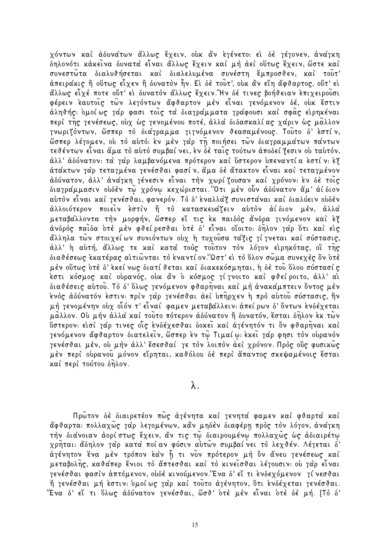γόντων και αδυνάτων άλλως έγειν, ούκ αν εγένετο: ει δε γέγονεν, ανάγκη δηλονότι κάκεῖνα δυνατα εἶναι ἄλλως ἔχειν καὶ μὴ ἀεὶ οὕτως ἔχειν, ὥστε καὶ συνεστώτα διαλυθήσεται και διαλελυμένα συνέστη έμπροσθεν, και τουτ' άπειράκις ή ούτως είχεν ή δυνατόν ήν. Εί δέ τουτ', ούκ άν είη άφθαρτος, ούτ' εί άλλως εἶχέ ποτε οὔτ' εἰ δυνατὸν ἀλλως ἔχειν Ἡν δέ τινες βοήθειαν ἐπιχειροῦσι φέρειν εαυτοίς των λεγόντων άφθαρτον μεν είναι γενόμενον δέ, ούκ έστιν άληθής: δμοίως γάρ φασι τοις τα διαγράμματα γράφουσι και σφας ειρηκέναι περί της γενέσεως, ούχ ώς γενομένου ποτέ, άλλα διδασκαλίας χάριν ώς μαλλον γνωριζόντων, ώσπερ τὸ διάγραμμα γιγνόμενον θεασαμένους. Τούτο δ' έστίν, ώσπερ λέγομεν, ού το αύτό: εν μέν γαρ τη ποιήσει των διαγραμμάτων πάντων τεθέντων είναι άμα το αύτο συμβαί νει, εν δε ταις τούτων αποδεί ξεσιν ου ταυτόν, άλλ' άδύνατον: τα γαρ λαμβανόμενα πρότερον και ύστερον υπεναντία εστίν: εξ άτάκτων γαρ τεταγμένα γενέσθαι φασίν, άμα δὲ άτακτον εἶναι καὶ τεταγμένον άδύνατον, άλλ' άνάγκη γένεσιν εἶναι την χωρίζουσαν και χρόνον: εν δε τοις διαγράμμασιν ούδέν τω χρόνω κεχώρισται. Ότι μέν ούν αδύνατον άμ' αίδιον αύτον είναι και γενέσθαι, φανερόν. Το δ'εναλλαξ συνιστάναι και διαλύειν ουδεν άλλοιότερον ποιείν 'εστιν ή το κατασκευάζειν αυτον αίδιον μέν, άλλα' μεταβάλλοντα την μορφήν, ώσπερ εί τις έκ παιδός άνδρα γινόμενον και έξ άνδρος παιδα δτε μεν φθείρεσθαι δτε δ' είναι οίοιτο: δηλον γαρ δτι και είς άλληλα τῶν στοιχεί ων συνιόντων οὐχ ἡ τυχοῦσα τάζις γίγνεται καὶ σύστασις, άλλ' ή αύτή, άλλως τε και κατα τους τουτον τον λόγον ειρηκότας, οι της διαθέσεως εκατέρας αιτιώνται το εναντί ον. Ώστ' ει το δλον σώμα συνεχες δν δτε μέν ούτως ότε δ' έκεί νως διατί θεται και διακεκόσμηται, ή δε του δλου σύστασίς έστι κόσμος καὶ οὐρανός, οὐκ ἂν ὁ κόσμος γίγνοιτο καὶ φθείροιτο, ἀλλ' αί διαθέσεις αύτου. Το δ' όλως γενόμενον φθαρηναι και μη ανακαμπτειν όντος μεν ένος άδύνατόν εστιν: πριν γαρ γενέσθαι άει υπήρχεν ή προ αυτού σύστασις, ήν μή γενομένην ούχ οἷόν τ' εἶναί φαμεν μεταβάλλειν: ἀπεί ρων δ' ὄντων 'ενδέχεται μαλλον. Οὐ μὴν ἀλλα καὶ τοῦτο πότερον ἀδύνατον ἢ δυνατόν, ἔσται δῆλον ἐκ τῶν ύστερον: είσι γάρ τινες οις ενδέχεσθαι δοκει και αγένητόν τι ον φθαρηναι και γενόμενον άφθαρτον διατελείν, ώσπερ εν τῷ Τιμαί ῳ: ἐκεἶ γάρ φησι τὸν οὐρανὸν γενέσθαι μέν, ού μήν άλλ' έσεσθαί γε τον λοιπον άει χρόνον. Προς ούς φυσικώς μέν περὶ οὐρανοῦ μόνον εἴρηται, καθόλου δὲ περὶ ἄπαντος σκεψαμένοις ἔσται καί περί τούτου δηλον.

## $\lambda$ .

Πρώτον δέ διαιρετέον πώς άγένητα καὶ γενητά φαμεν καὶ φθαρτα καὶ άφθαρτα: πολλαχώς γαρ λεγομένων, κάν μηδεν διαφέρη προς τον λόγον, ανάγκη τήν διάνοιαν άορίστως έχειν, άν τις τω διαιρουμένω πολλαχως ως αδιαιρέτω χρήται: άδηλον γαρ κατα ποίαν φύσιν αύτων συμβαίνει το λεχθέν. Λέγεται δ' άγένητον ένα μέν τρόπον 'εα'ν ή τι νύν πρότερον μη 'ον άνευ γενέσεως και' μεταβολής, καθάπερ ένιοι το άπτεσθαι και το κινείσθαι λέγουσιν: ού γαρ είναι γενέσθαι φασίν άπτόμενον, ούδε κινούμενον. Ένα δ' εί τι ενδεχόμενον γίνεσθαι ἢ γενέσθαι μή ἐστιν: ὁμοίως γαρ καὶ τοῦτο ἀγένητον, ὅτι ἐνδέχεται γενέσθαι. "Ένα δ' εἴ τι ὅλως ἀδύνατον γενέσθαι, ὥσθ' ὁτὲ μὲν εἶναι ὁτὲ δὲ μή. [Τὸ δ'

15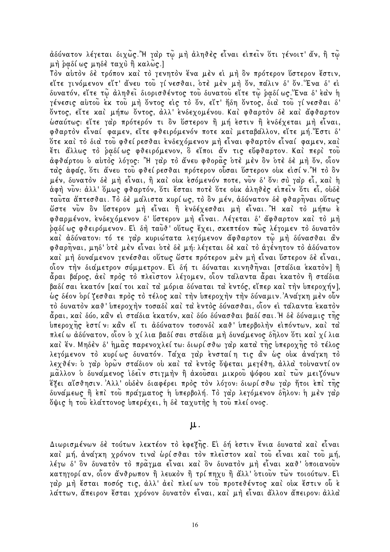άδύνατον λέγεται διχως. Ή γαρ τω μη άληθές είναι ειπείν ότι γένοιτ' άν, ή τω μή ραδίως μηδέ ταχύ ή καλώς.

Τον αυτον δε τρόπον και το γενητον ένα μεν ει μη ον πρότερον ύστερον έστιν, εἴτε γινόμενον εἴτ' ἄνευ τοῦ γίνεσθαι, ὁτὲ μὲν μὴ ὄν, παλιν δ' ὄν. Ένα δ' εἰ δυνατόν, είτε τῷ ἀληθεῖ διορισθέντος τοῦ δυνατοῦ είτε τῷ ῥαδί ως. Ένα δ' ἐαν ἡ γένεσις αύτου έκ του μή όντος είς το όν, είτ' ήδη όντος, δια του γίνεσθαι δ' ὄντος, εἴτε καὶ μήπω ὄντος, ἀλλ' ἐνδεχομένου. Καὶ φθαρτὸν δὲ καὶ ἄφθαρτον ώσαύτως: είτε γαρ πρότερόν τι ὂν ὕστερον ἢ μή εστιν ἢ ενδέχεται μή εἶναι, φθαρτὸν εἶναί φαμεν, εἴτε φθειρόμενόν ποτε καὶ μεταβάλλον, εἴτε μή."Εστι δ' δτε καὶ τὸ δια τοῦ φθεί ρεσθαι ἐνδεχόμενον μὴ εἶναι φθαρτὸν εἶναί φαμεν, καὶ έτι άλλως το ραδίως φθειρόμενον, δ είποι άν τις εύφθαρτον. Και περι του άφθάρτου ο αύτος λόγος: "Η γαρ το άνευ φθορας οτε μεν ον οτε δε μη όν, οίον τας άφας, ότι ανευ του φθείρεσθαι πρότερον ούσαι ύστερον ουκ εισίν. Ή το δν μέν, δυνατὸν δὲ μὴ εἶναι, ἢ καὶ οὐκ ἐσόμενόν ποτε, νῦν δ' ὄν: σὺ γαρ εἶ, καὶ ἡ άφη νύν: άλλ' δμως φθαρτόν, ότι έσται ποτέ ότε ούκ άληθές είπειν ότι εί, ούδέ ταύτα άπτεσθαι. Τὸ δὲ μάλιστα κυρί ως, τὸ ὂν μέν, ἀδύνατον δὲ φθαρηναι ούτως ώστε νῦν ὂν ὕστερον μὴ εἶναι ἢ ἐνδέχεσθαι μὴ εἶναι. Ή καὶ τὸ μήπω ἐ φθαρμένον, ενδεχόμενον δ' ύστερον μή εἶναι. Λέγεται δ' ἄφθαρτον καὶ τὸ μή ραδίως φθειρόμενον. Ει δη ταυθ' ούτως έχει, σκεπτέον πως λέγομεν το δυνατον καὶ ἀδύνατον: τό τε γαρ κυριώτατα λεγόμενον ἄφθαρτον τῷ μὴ δύνασθαι ἀν φθαρηναι, μηδ' ότε μεν εἶναι ότε δε μή: λέγεται δε και το αγένητον το αδύνατον καὶ μὴ δυνάμενον γενέσθαι οὕτως ὥστε πρότερον μὲν μὴ εἶναι ὕστερον δὲ εἶναι, οΐον την διαμετρον σύμμετρον. Ει δή τι δύναται κινηθηναι [σταδια εκατον] ή ἆραι βάρος, ἀεὶ πρὸς τὸ πλεἶστον λέγομεν, οἷον τάλαντα ἆραι ἑκατὸν ἢ στάδια βαδί σαι 'εκατόν [καί τοι καὶ τα` μόρια δύναται τα` έντός, εἴπερ καὶ τὴν ὑπεροχήν], ώς δέον δρίζεσθαι πρὸς τὸ τέλος καὶ τὴν ὑπεροχὴν τὴν δύναμιν. Ἀνάγκη μὲν οὖν τὸ δυνατὸν καθ' ὑπεροχὴν τοσαδὶ καὶ τα 'εντὸς δύνασθαι, οἷον εἰ τάλαντα 'εκατὸν ἆραι, καὶ δύο, κἂν εἰ στάδια ἑκατόν, καὶ δύο δύνασθαι βαδί σαι. Ἡ δὲ δύναμις τῆς υπεροχης έστίν: κάν εί τι άδύνατον τοσονδι καθ' υπερβολην ειπόντων, και τα πλεί ω άδύνατον, οίον ο χίλια βαδί σαι στάδια μή δυνάμενος δηλον ότι και χίλια και έν. Μηδεν δ' ήμας παρενοχλεί τω: διωρί σθω γαρ κατα της υπεροχης το τέλος λεγόμενον τὸ κυρίως δυνατόν. Τάχα γαρ ενσταίη τις ἀν ὡς οὐκ ἀνάγκη τὸ λεχθέν: ο γαρ ορών σταδιον ου και τα εντος όψεται μεγέθη, άλλα τουναντίον μᾶλλον ὁ δυνάμενος ἰδεῖν στιγμὴν ἢ ἀχοῦσαι μιχροῦ ψόφου χαὶ τῶν μειζόνων έξει αΐσθησιν. Αλλ' ουδέν διαφέρει προς τον λόγον: διωρίσθω γαρ ήτοι επι της δυνάμεως ἢ επι του πράγματος ἡ ὑπερβολή. Τὸ γαρ λεγόμενον δῆλον: ἡ μεν γαρ όψις ή του ελαττονος υπερέχει, ή δε ταχυτής ή του πλεί ονος.

### μ.

Διωρισμένων δὲ τούτων λεκτέον τὸ ἐφεξῆς. Εἰ δή ἐστιν ἔνια δυνατα καὶ εἶναι καὶ μή, ἀνάγκη χρόνον τινα ὡρίσθαι τὸν πλεἶστον καὶ τοῦ εἶναι καὶ τοῦ μή, λέγω δ' δν δυνατόν το πραγμα είναι και δν δυνατόν μη είναι καθ' δποιανούν κατηγορίαν, οίον άνθρωπον ή λευκόν ή τρίπηχυ ή άλλ' ότιουν των τοιούτων. Εί γαρ μη ἔσται ποσός τις, ἀλλ' ἀεὶ πλείων του προτεθέντος καὶ οὐκ ἔστιν οὗ ἐ λάττων, άπειρον έσται χρόνον δυνατὸν εἶναι, καὶ μὴ εἶναι ἄλλον ἄπειρον: ἀλλα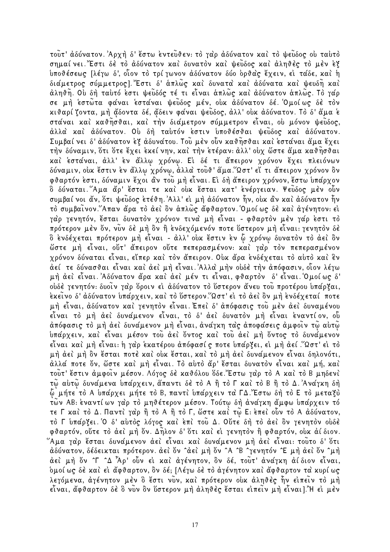τούτ' άδύνατον. Άρχη δ' έστω εντεύθεν: το γαρ άδύνατον και το ψεύδος ου ταυτο σημαίνει."Έστι δέ τὸ ἀδύνατον καὶ δυνατὸν καὶ ψεῦδος καὶ ἀληθές τὸ μέν 'εξ υποθέσεως [λέγω δ', οΐον τὸ τρί γωνον ἀδύνατον δύο ὀρθας ἔχειν, εἰ τάδε, καὶ ἡ διάμετρος σύμμετρος]. Έστι δ' άπλως και δυνατα και άδύνατα και ψευδη και άληθῆ. Οὐ δὴ ταὐτό ἐστι ψεῦδός τέ τι εἶναι ἁπλῶς καὶ ἀδύνατον ἁπλῶς. Τὸ γάρ σε μη έστώτα φάναι έστάναι ψεύδος μέν, ούκ άδύνατον δέ. Όμοί ως δέ τον κιθαρίζοντα, μή άδοντα δέ, άδειν φαναι ψεύδος, άλλ' ούκ αδύνατον. Το δ' άμα ε στάναι καὶ καθη̃σθαι, καὶ την διάμετρον σύμμετρον εἶναι, οὐ μόνον ψεῦδος, άλλα και άδύνατον. Ου δή ταυτόν εστιν υποθέσθαι ψευδος και άδύνατον. Συμβαί νει δ' άδύνατον 'εξ άδυνάτου. Τοῦ μέν οὖν καθησθαι καὶ 'εστάναι ἅμα έγει την δύναμιν, ότι ότε έχει εκεί νην, και την ετέραν: άλλ' ουχ ώστε άμα καθησθαι και εστάναι, άλλ' εν άλλω χρόνω. Ει δέ τι άπειρον χρόνον έχει πλειόνων δύναμιν, ούκ έστιν εν άλλω χρόνω, αλλα τοῦθ' ἅμα. Ώστ' εἴ τι άπειρον χρόνον ὂν φθαρτόν 'εστι, δύναμιν έχοι άν του μη είναι. Ει δη άπειρον χρόνον, έστω υπάρχον δ δύναται. Άμα ἄρ' ἔσται τε καὶ οὐκ ἔσται κατ' ἐνέργειαν. Ψεὖδος μὲν οὖν συμβαί νοι άν, ότι ψεύδος ετέθη. Άλλ' ει μη αδύνατον ήν, ουκ αν και αδύνατον ήν τὸ συμβαῖνον. Άπαν ἄρα τὸ ἀεὶ ὂν ἁπλῶς ἄφθαρτον. Ὁμοί ως δὲ καὶ ἀγένητον: εἰ γαρ γενητόν, έσται δυνατον χρόνον τινα μη είναι - φθαρτον μεν γάρ εστι το πρότερον μεν όν, νύν δε μη όν ή ενδεχόμενόν ποτε ύστερον μη είναι: γενητον δε δ ενδέχεται πρότερον μή εἶναι - ἀλλ' οὐκ ἔστιν ἐν ὧ χρόνω δυνατὸν τὸ ἀεὶ ὂν ώστε μή είναι, ούτ' άπειρον ούτε πεπερασμένον: και γαρ τον πεπερασμένον γρόνον δύναται εἶναι, εἴπερ καὶ τὸν ἄπειρον. Οὐκ ἄρα ἐνδέχεται τὸ αὐτὸ καὶ ἓν άεί τε δύνασθαι εἶναι καὶ ἀεὶ μὴ εἶναι. Ἀλλα μὴν οὐδὲ τὴν ἀπόφασιν, οἷον λέγω μη άεὶ εἶναι Ἀδύνατον ἄρα καὶ ἀεὶ μέν τι εἶναι, φθαρτὸν δ' εἶναι Ὁμοίως δ' ούδε γενητόν: δυοίν γαρ δροιν ει αδύνατον το ύστερον άνευ του προτέρου υπαρξαι, εκείνο δ' άδύνατον ὑπάρχειν, καὶ τὸ ὕστερον. Ώστ' εἰ τὸ ἀεὶ ὂν μὴ ἐνδέχεταί ποτε μη εἶναι, ἀδύνατον καὶ γενητὸν εἶναι. Ἐπεὶ δ' ἀπόφασις τοῦ μὲν ἀεὶ δυναμένου είναι το μή άει δυνάμενον είναι, το δ' άει δυνατον μή είναι εναντίον, ού άπόφασις τὸ μὴ ἀεὶ δυνάμενον μὴ εἶναι, ἀνάγκη τας ἀποφάσεις ἀμφοῖν τῶ αὐτῶ υπάρχειν, και είναι μέσον του άει όντος και του άει μη όντος το δυνάμενον εἶναι καὶ μὴ εἶναι: ἡ γαρ ἑκατέρου ἀπόφασίς ποτε ὑπάρξει, εἰ μὴ ἀεί . Ώστ' εἰ τὸ μή άεὶ μή ὂν ἔσται ποτὲ καὶ οὐκ ἔσται, καὶ τὸ μή ἀεὶ δυνάμενον εἶναι δηλονότι, άλλά ποτε ὄν, ὥστε καὶ μὴ εἶναι. Τὸ αὐτὸ ἄρ' ἔσται δυνατὸν εἶναι καὶ μή, καὶ τουτ' έστιν άμφοιν μέσον. Λόγος δε καθόλου δδε. Έστω γαρ το Α και το Β μηδενι τω αύτω δυνάμενα ύπάρχειν, άπαντι δέ τὸ Α ἢ τὸ Γ καὶ τὸ Β ἢ τὸ Δ. Ἀνάγκη δή ὧ μήτε τὸ Α ὑπαρχει μήτε τὸ Β, παντὶ ὑπαρχειν τα ΓΔ. Έστω δὴ τὸ Ε τὸ μεταξὺ τῶν ΑΒ: εναντί ων γαρ το μηθέτερον μέσον. Τούτω δη αναγκη άμφω υπαρχειν τό τε Γ καὶ τὸ Δ. Παντὶ γαρ ἢ τὸ Α ἢ τὸ Γ, ὥστε καὶ τῷ Ε: ἐπεὶ οὖν τὸ Α ἀδύνατον, τό Γ υπάρξει. Ο δ' αύτος λόγος και έπι του Δ. Ούτε δη το άει όν γενητον ουδέ φθαρτόν, ούτε τὸ ἀεὶ μὴ ὄν. Δῆλον δ' ὅτι καὶ εἰ γενητὸν ἢ φθαρτόν, οὐκ ἀί διον. <sup>ν</sup>Αμα γαρ ἔσται δυναμενον ἀεὶ εἶναι καὶ δυναμενον μὴ ἀεὶ εἶναι: τοῦτο δ' ὅτι άδύνατον, δέδεικται πρότερον. άει όν αάει μή όν α β γενητόν Έ μή άει όν αμή άεὶ μὴ ὄν Υ ΥΔ Άρ' οὖν εἰ καὶ ἀγένητον, ὂν δέ, τοῦτ' ἀνάγκη ἀίδιον εἶναι, δμοί ως δέ και ει άφθαρτον, δν δέ; [Λέγω δε το άγένητον και άφθαρτον τα κυρί ως λεγόμενα, άγένητον μεν δ έστι νύν, και πρότερον ούκ άληθες ήν ειπείν το μη εἶναι, ἄφθαρτον δὲ ὃ νυν ὂν ὕστερον μὴ ἀληθὲς ἔσται εἰπειν μὴ εἶναι]. Ή εὶ μὲν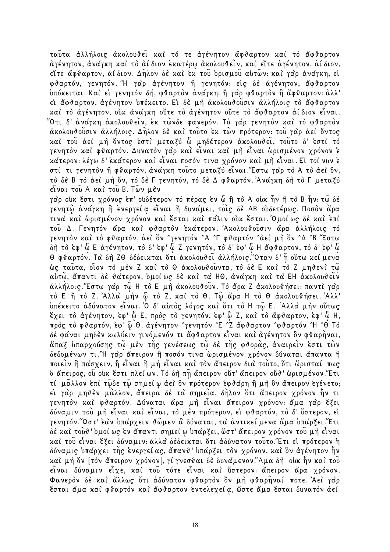ταύτα άλλήλοις άκολουθεί και τό τε άγένητον άφθαρτον και το άφθαρτον άγένητον, άνάγκη καὶ τὸ ἀίδιον ἑκατέρω ἀκολουθεῖν, καὶ εἴτε ἀγένητον, ἀίδιον, είτε άφθαρτον, αίδιον. Δηλον δέ και εκ του δρισμού αύτων: και γαρ αναγκη, ει φθαρτόν, γενητόν. Ή γαρ αγένητον ή γενητόν: είς δε αγένητον, άφθαρτον υπόκειται. Και εί γενητον δή, φθαρτον ανάγκη: ή γαρ φθαρτον ή άφθαρτον: άλλ' ει άφθαρτον, αγένητον υπέκειτο. Ει δε μή ακολουθούσιν αλλήλοις το άφθαρτον καὶ τὸ ἀγένητον, οὐκ ἀνάγκη οὔτε τὸ ἀγένητον οὔτε τὸ ἄφθαρτον ἀίδιον εἶναι. <sup>ν</sup>Οτι δ' ἀναγκη ἀκολουθεῖν, ἐκ τῶνδε φανερόν. Τὸ γαρ γενητὸν καὶ τὸ φθαρτὸν άκολουθούσιν άλλήλοις. Δήλον δέ καὶ τούτο έκ τῶν πρότερον: τού γαρ ἀεὶ ὄντος και του άει μή όντος έστι μεταξύ ω μηδέτερον άκολουθεί, τούτο δ' έστι το γενητόν καὶ φθαρτόν. Δυνατόν γαρ καὶ εἶναι καὶ μὴ εἶναι ώρισμένον χρόνον ε κάτερον: λέγω δ' εκάτερον και είναι ποσόν τινα χρόνον και μη είναι. Ει τοί νυν ε στί τι γενητον ἢ φθαρτόν, αναγκη τοῦτο μεταξύ εἶναι."Εστω γαρ το Α το ἀει ὄν, τό δέ Β το άει μή όν, το δέ Γ γενητόν, το δέ Δ φθαρτόν. Ανάγκη δή το Γ μεταξύ εἶναι τοῦ Α καὶ τοῦ Β. Τῶν μὲν

γαρ ούκ έστι χρόνος επ' ουδέτερον το πέρας εν ὧ ή το Α ουκ ἦν ή το Β ἦν: τῷ δε γενητῷ ἀνάγκη ἢ ἐνεργεία εἶναι ἢ δυνάμει, τοις δὲ ΑΒ οὐδετέρως. Ποσὸν ἄρα τινα και ώρισμένον χρόνον και έσται και πάλιν ούκ έσται. Όμοί ως δε και επι του Δ. Γενητόν άρα καί φθαρτόν εκάτερον. Ακολουθούσιν άρα άλλήλοις τό γενητόν και το φθαρτόν. άει όν γενητόν Α Υ φθαρτόν αει μη όν Δ Β Έστω δη το εφ' ω Ε αγένητον, το δ' εφ' ω Ζ γενητόν, το δ' εφ' ω Η αφθαρτον, το δ' εφ' ω Θ φθαρτόν. Τα δή ΖΘ δέδεικται δτι άκολουθεί άλλήλοις. Όταν δ' ή ούτω κεί μενα ώς ταύτα, οίον το μέν Ζ και το Θ άκολουθούντα, το δέ Ε και το Ζ μηθενι τώ αύτω, άπαντι δέ θάτερον, δμοίως δέ και τα ΗΘ, ανάγκη και τα ΕΗ ακολουθείν άλλήλοις. Έστω γαρ τῷ Η τὸ Ε μὴ ἀκολουθοῦν. Τὸ ἄρα Ζ ἀκολουθήσει: παντὶ γαρ τὸ E ἢ τὸ Z. Ἀλλα μὴν ῷ τὸ Z, καὶ τὸ Θ. Tῷ ἄρα H τὸ Θ ἀκολουθήσει. Ἀλλ' υπέκειτο άδύνατον είναι. Ο δ' αύτος λόγος και ότι το Η τώ Ε. Άλλα μήν ούτως έχει το αγένητον, έφ' ὧ Ε, προς το γενητόν, έφ' ὧ Ζ, και το άφθαρτον, έφ' ὧ Η, πρός το φθαρτόν, έφ' ὧ Θ. άγένητον γενητόν Έ 2 άφθαρτον γφθαρτόν Η 2Θ Το δε φαναι μηδεν κωλύειν γινόμενόν τι άφθαρτον είναι και αγένητον όν φθαρηναι, άπαζ υπαρχούσης τῷ μεν τῆς γενέσεως τῷ δε τῆς φθορᾶς, ἀναιρεῖν ἐστι τῶν δεδομένων τι. Ή γαρ άπειρον ή ποσόν τινα ώρισμένον χρόνον δύναται άπαντα ή ποιείν ἢ πασχειν, ἢ εἶναι ἢ μὴ εἶναι καὶ τὸν ἄπειρον δια τοῦτο, ὅτι ὥρισταί πως δ άπειρος, οὗ οὐκ ἔστι πλεί ων. Τὸ δὴ πῇ ἄπειρον οὔτ' ἄπειρον οὔθ' ὡρισμένον. Έτι τί μαλλον επι τώδε τω σημείω άει δν πρότερον εφθαρη ή μη δν άπειρον εγένετο; ει γαρ μηθεν μαλλον, άπειρα δε τα σημεία, δηλον ότι άπειρον χρόνον ήν τι γενητὸν καὶ φθαρτόν. Δύναται ἄρα μὴ εἶναι ἄπειρον χρόνον: ἄμα γαρ ἕξει δύναμιν του μή είναι και είναι, το μεν πρότερον, ει φθαρτόν, το δ' ύστερον, ει γενητόν. Ώστ' 'εαν υπάρχειν θώμεν α δύναται, τα αντικεί μενα άμα υπάρξει. Έτι δε και τουθ δμοί ως εν άπαντι σημεί ω υπάρξει, ώστ άπειρον χρόνον του μη είναι και του είναι έξει δύναμιν: άλλα δέδεικται ότι άδύνατον τουτο. Έτι ει πρότερον ή δύναμις υπάρχει της ενεργείας, άπανθ' υπάρξει τον χρόνον, και δν άγένητον ήν καὶ μὴ ὄν [τὸν ἄπειρον χρόνον], γί γνεσθαι δὲ δυνάμενον. Άμα δὴ οὐκ ἦν καὶ τοῦ είναι δύναμιν είχε, και του τότε είναι και ύστερον: άπειρον άρα χρόνον. Φανερόν δέ και άλλως ότι άδύνατον φθαρτόν όν μή φθαρηναί ποτε. Άει γαρ έσται άμα καὶ φθαρτὸν καὶ ἄφθαρτον ἐντελεχεί α, ὥστε άμα ἔσται δυνατὸν ἀεί